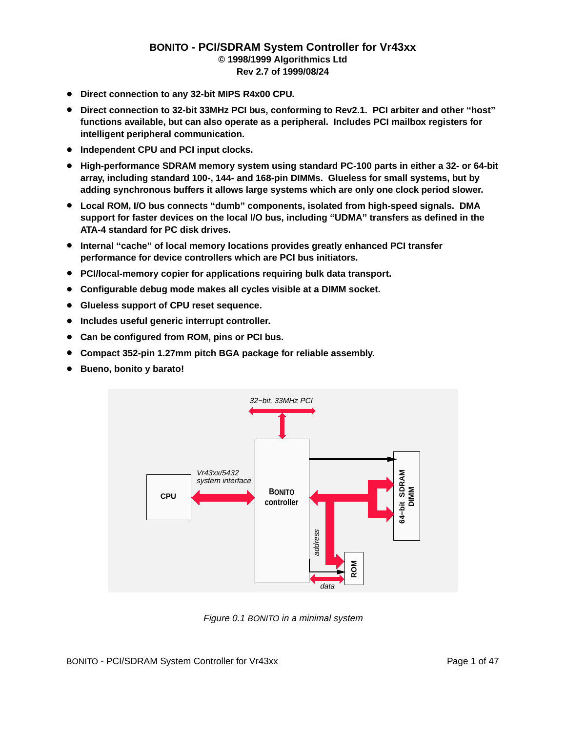#### **BONITO - PCI/SDRAM System Controller for Vr43xx © 1998/1999 Algorithmics Ltd Rev 2.7 of 1999/08/24**

- **Direct connection to any 32-bit MIPS R4x00 CPU.**
- **Direct connection to 32-bit 33MHz PCI bus, conforming to Rev2.1. PCI arbiter and other ''host''** functions available, but can also operate as a peripheral. Includes PCI mailbox registers for **intellig ent peripheral communication.**
- **Independent CPU and PCI input clocks.**
- **High-performance SDRAM memory system using standard PC-100 parts in either a 32- or 64-bit array, including standard 100-, 144- and 168-pin DIMMs. Glueless for small systems, but by adding synchronous buffers it allows large systems which are only one clock period slower.**
- **Local ROM, I/O bus connects ''dumb'' components, isolated from high-speed signals. DMA** support for faster devices on the local I/O bus, including "UDMA" transfers as defined in the **ATA-4 standard for PC disk drives.**
- **Internal ''cache'' of local memory locations provides greatly enhanced PCI transfer performance for device controllers which are PCI bus initiators.**
- PCI/local-memory copier for applications requiring bulk data transport.
- **Configurable debug mode makes all cycles visible at a DIMM socket.**
- **Glueless support of CPU reset sequence.**
- **Includes useful generic interrupt controller.**
- **Can be configured from ROM, pins or PCI bus.**
- **Compact 352-pin 1.27mm pitch BGA package for reliable assembly.**
- **Bueno, bonito y barato!**



Figure 0.1 BONITO in a minimal system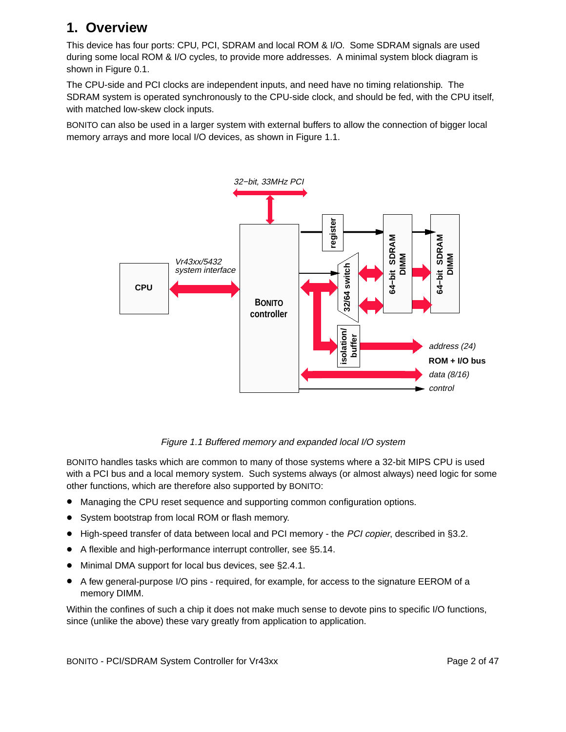## **1. Overview**

This device has four ports: CPU, PCI, SDRAM and local ROM & I/O. Some SDRAM signals are used during some local ROM & I/O cycles, to provide more addresses. A minimal system block diagram is shown in Figure 0.1.

The CPU-side and PCI clocks are independent inputs, and need have no timing relationship. The SDRAM system is operated synchronously to the CPU-side clock, and should be fed, with the CPU itself, with matched low-skew clock inputs.

BONITO can also be used in a larger system with external buffers to allow the connection of bigger local memory arrays and more local I/O devices, as shown in Figure 1.1.



#### Figure 1.1 Buffered memory and expanded local I/O system

BONITO handles tasks which are common to many of those systems where a 32-bit MIPS CPU is used with a PCI bus and a local memory system. Such systems always (or almost always) need logic for some other functions, which are therefore also supported by BONITO:

- Managing the CPU reset sequence and supporting common configuration options.
- System bootstrap from local ROM or flash memory.
- High-speed transfer of data between local and PCI memory the PCI copier, described in §3.2.
- A flexible and high-performance interrupt controller, see §5.14.
- Minimal DMA support for local bus devices, see §2.4.1.
- $\bullet$  A few general-purpose I/O pins required, for example, for access to the signature EEROM of a memory DIMM.

Within the confines of such a chip it does not make much sense to devote pins to specific I/O functions, since (unlike the above) these vary greatly from application to application.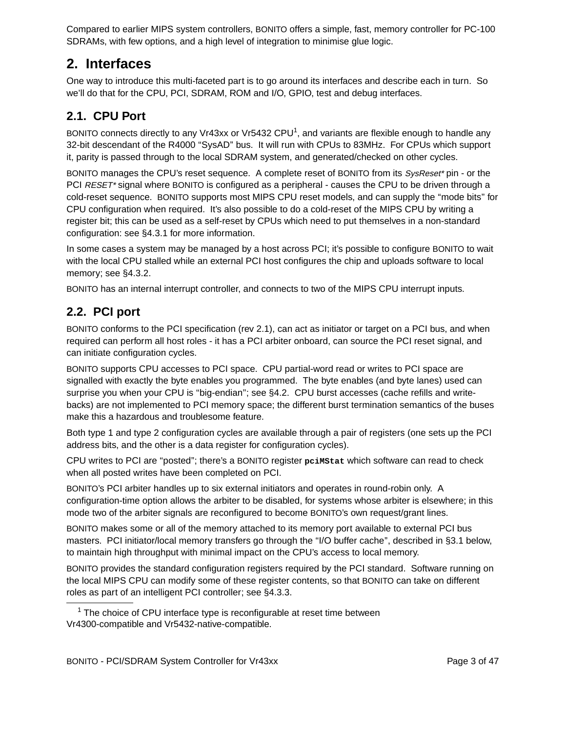Compared to earlier MIPS system controllers, BONITO offers a simple, fast, memory controller for PC-100 SDRAMs, with few options, and a high level of integration to minimise glue logic.

## **2. Interfaces**

One way to introduce this multi-faceted part is to go around its interfaces and describe each in turn. So we'll do that for the CPU, PCI, SDRAM, ROM and I/O, GPIO, test and debug interfaces.

## **2.1. CPU Port**

BONITO connects directly to any Vr43xx or Vr5432 CPU<sup>1</sup>, and variants are flexible enough to handle any 32-bit descendant of the R4000 ''SysAD'' bus. It will run with CPUs to 83MHz. For CPUs which support it, parity is passed through to the local SDRAM system, and generated/checked on other cycles.

BONITO manages the CPU's reset sequence. A complete reset of BONITO from its SysReset\* pin - or the PCI RESET\* signal where BONITO is configured as a peripheral - causes the CPU to be driven through a cold-reset sequence. BONITO supports most MIPS CPU reset models, and can supply the "mode bits" for CPU configuration when required. It's also possible to do a cold-reset of the MIPS CPU by writing a register bit; this can be used as a self-reset by CPUs which need to put themselves in a non-standard configuration: see §4.3.1 for more information.

In some cases a system may be managed by a host across PCI; it's possible to configure BONITO to wait with the local CPU stalled while an external PCI host configures the chip and uploads software to local memory; see §4.3.2.

BONITO has an internal interrupt controller, and connects to two of the MIPS CPU interrupt inputs.

## **2.2. PCI port**

BONITO conforms to the PCI specification (rev 2.1), can act as initiator or target on a PCI bus, and when required can perform all host roles - it has a PCI arbiter onboard, can source the PCI reset signal, and can initiate configuration cycles.

BONITO supports CPU accesses to PCI space. CPU partial-word read or writes to PCI space are signalled with exactly the byte enables you programmed. The byte enables (and byte lanes) used can surprise you when your CPU is "big-endian"; see §4.2. CPU burst accesses (cache refills and writebacks) are not implemented to PCI memory space; the different burst termination semantics of the buses make this a hazardous and troublesome feature.

Both type 1 and type 2 configuration cycles are available through a pair of registers (one sets up the PCI address bits, and the other is a data register for configuration cycles).

CPU writes to PCI are "posted"; there's a BONITO register points between thich software can read to check when all posted writes have been completed on PCI.

BONITO's PCI arbiter handles up to six external initiators and operates in round-robin only. A configuration-time option allows the arbiter to be disabled, for systems whose arbiter is elsewhere; in this mode two of the arbiter signals are reconfigured to become BONITO's own request/grant lines.

BONITO makes some or all of the memory attached to its memory port available to external PCI bus masters. PCI initiator/local memory transfers go through the "I/O buffer cache", described in §3.1 below, to maintain high throughput with minimal impact on the CPU's access to local memory.

BONITO provides the standard configuration registers required by the PCI standard. Software running on the local MIPS CPU can modify some of these register contents, so that BONITO can take on different roles as part of an intelligent PCI controller; see §4.3.3.

 $1$  The choice of CPU interface type is reconfigurable at reset time between Vr4300-compatible and Vr5432-native-compatible.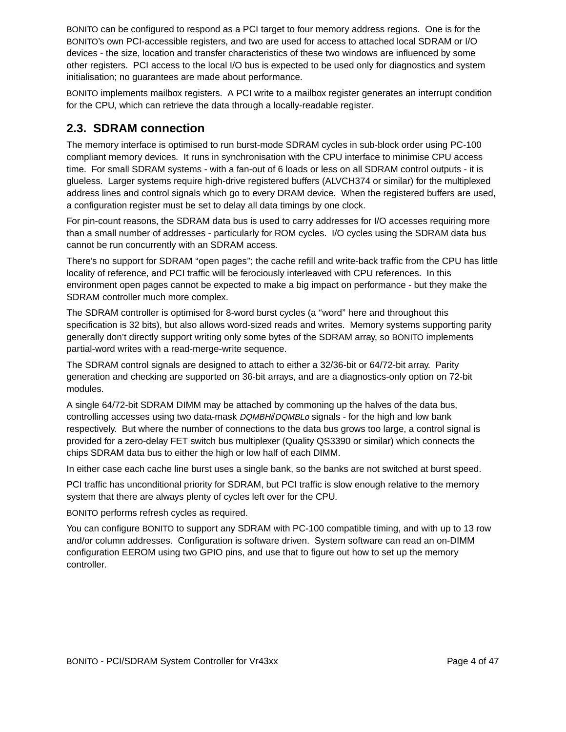BONITO can be configured to respond as a PCI target to four memory address regions. One is for the BONITO's own PCI-accessible registers, and two are used for access to attached local SDRAM or I/O devices - the size, location and transfer characteristics of these two windows are influenced by some other registers. PCI access to the local I/O bus is expected to be used only for diagnostics and system initialisation; no guarantees are made about performance.

BONITO implements mailbox registers. A PCI write to a mailbox register generates an interrupt condition for the CPU, which can retrieve the data through a locally-readable register.

### **2.3. SDRAM connection**

The memory interface is optimised to run burst-mode SDRAM cycles in sub-block order using PC-100 compliant memory devices. It runs in synchronisation with the CPU interface to minimise CPU access time. For small SDRAM systems - with a fan-out of 6 loads or less on all SDRAM control outputs - it is glueless. Larger systems require high-drive registered buffers (ALVCH374 or similar) for the multiplexed address lines and control signals which go to every DRAM device. When the registered buffers are used, a configuration register must be set to delay all data timings by one clock.

For pin-count reasons, the SDRAM data bus is used to carry addresses for I/O accesses requiring more than a small number of addresses - particularly for ROM cycles. I/O cycles using the SDRAM data bus cannot be run concurrently with an SDRAM access.

There's no support for SDRAM "open pages"; the cache refill and write-back traffic from the CPU has little locality of reference, and PCI traffic will be ferociously interleaved with CPU references. In this environment open pages cannot be expected to make a big impact on performance - but they make the SDRAM controller much more complex.

The SDRAM controller is optimised for 8-word burst cycles (a ''word'' here and throughout this specification is 32 bits), but also allows word-sized reads and writes. Memory systems supporting parity generally don't directly support writing only some bytes of the SDRAM array, so BONITO implements partial-word writes with a read-merge-write sequence.

The SDRAM control signals are designed to attach to either a 32/36-bit or 64/72-bit array. Parity generation and checking are supported on 36-bit arrays, and are a diagnostics-only option on 72-bit modules.

A single 64/72-bit SDRAM DIMM may be attached by commoning up the halves of the data bus, controlling accesses using two data-mask DQMBHi/DQMBLo signals - for the high and low bank respectively. But where the number of connections to the data bus grows too large, a control signal is provided for a zero-delay FET switch bus multiplexer (Quality QS3390 or similar) which connects the chips SDRAM data bus to either the high or low half of each DIMM.

In either case each cache line burst uses a single bank, so the banks are not switched at burst speed.

PCI traffic has unconditional priority for SDRAM, but PCI traffic is slow enough relative to the memory system that there are always plenty of cycles left over for the CPU.

BONITO performs refresh cycles as required.

You can configure BONITO to support any SDRAM with PC-100 compatible timing, and with up to 13 row and/or column addresses. Configuration is software driven. System software can read an on-DIMM configuration EEROM using two GPIO pins, and use that to figure out how to set up the memory controller.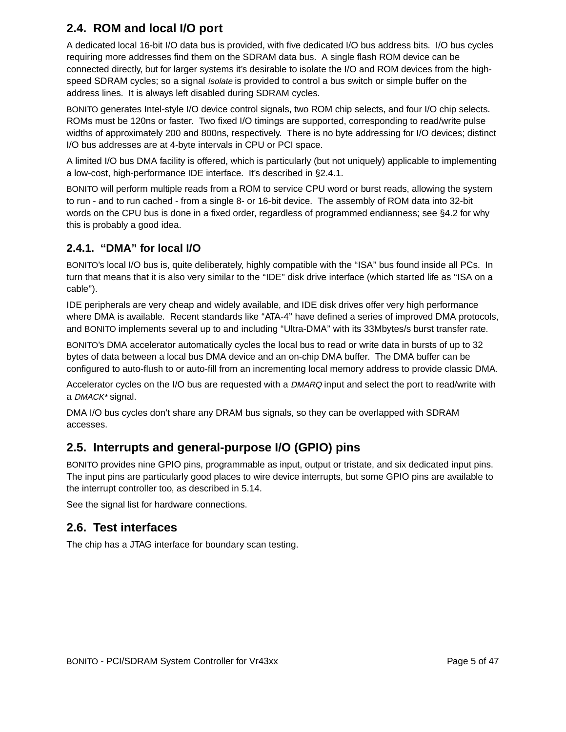## **2.4. ROM and local I/O port**

A dedicated local 16-bit I/O data bus is provided, with five dedicated I/O bus address bits. I/O bus cycles requiring more addresses find them on the SDRAM data bus. A single flash ROM device can be connected directly, but for larger systems it's desirable to isolate the I/O and ROM devices from the highspeed SDRAM cycles; so a signal *Isolate* is provided to control a bus switch or simple buffer on the address lines. It is always left disabled during SDRAM cycles.

BONITO generates Intel-style I/O device control signals, two ROM chip selects, and four I/O chip selects. ROMs must be 120ns or faster. Two fixed I/O timings are supported, corresponding to read/write pulse widths of approximately 200 and 800ns, respectively. There is no byte addressing for I/O devices; distinct I/O bus addresses are at 4-byte intervals in CPU or PCI space.

A limited I/O bus DMA facility is offered, which is particularly (but not uniquely) applicable to implementing a low-cost, high-performance IDE interface. It's described in §2.4.1.

BONITO will perform multiple reads from a ROM to service CPU word or burst reads, allowing the system to run - and to run cached - from a single 8- or 16-bit device. The assembly of ROM data into 32-bit words on the CPU bus is done in a fixed order, regardless of programmed endianness; see §4.2 for why this is probably a good idea.

### **2.4.1. ''DMA'' for local I/O**

BONITO's local I/O bus is, quite deliberately, highly compatible with the "ISA" bus found inside all PCs. In turn that means that it is also very similar to the "IDE" disk drive interface (which started life as "ISA on a cable'').

IDE peripherals are very cheap and widely available, and IDE disk drives offer very high performance where DMA is available. Recent standards like "ATA-4" have defined a series of improved DMA protocols, and BONITO implements several up to and including ''Ultra-DMA'' with its 33Mbytes/s burst transfer rate.

BONITO's DMA accelerator automatically cycles the local bus to read or write data in bursts of up to 32 bytes of data between a local bus DMA device and an on-chip DMA buffer. The DMA buffer can be configured to auto-flush to or auto-fill from an incrementing local memory address to provide classic DMA.

Accelerator cycles on the I/O bus are requested with a DMARQ input and select the port to read/write with a DMACK\* signal.

DMA I/O bus cycles don't share any DRAM bus signals, so they can be overlapped with SDRAM accesses.

## **2.5. Interrupts and general-purpose I/O (GPIO) pins**

BONITO provides nine GPIO pins, programmable as input, output or tristate, and six dedicated input pins. The input pins are particularly good places to wire device interrupts, but some GPIO pins are available to the interrupt controller too, as described in 5.14.

See the signal list for hardware connections.

## **2.6. Test interfaces**

The chip has a JTAG interface for boundary scan testing.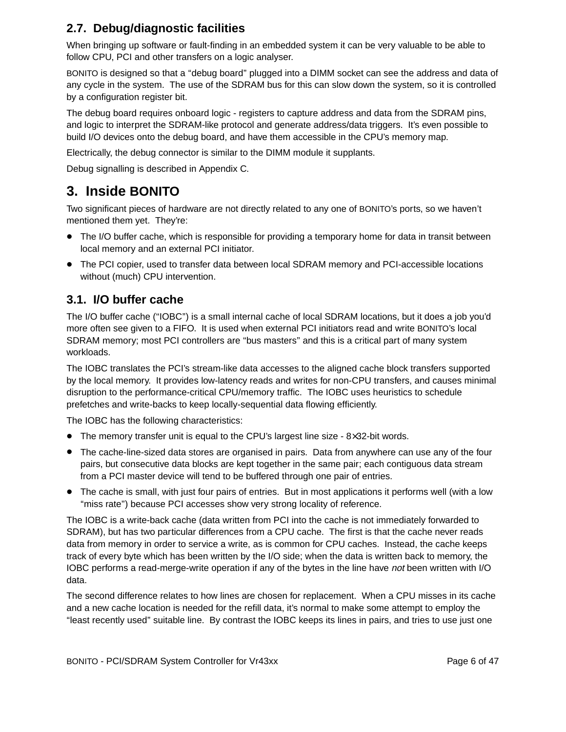## **2.7. Debug/diagnostic facilities**

When bringing up software or fault-finding in an embedded system it can be very valuable to be able to follow CPU, PCI and other transfers on a logic analyser.

BONITO is designed so that a ''debug board'' plugged into a DIMM socket can see the address and data of any cycle in the system. The use of the SDRAM bus for this can slow down the system, so it is controlled by a configuration register bit.

The debug board requires onboard logic - registers to capture address and data from the SDRAM pins, and logic to interpret the SDRAM-like protocol and generate address/data triggers. It's even possible to build I/O devices onto the debug board, and have them accessible in the CPU's memory map.

Electrically, the debug connector is similar to the DIMM module it supplants.

Debug signalling is described in Appendix C.

## **3. Inside BONITO**

Two significant pieces of hardware are not directly related to any one of BONITO's ports, so we haven't mentioned them yet. They're:

- The I/O buffer cache, which is responsible for providing a temporary home for data in transit between local memory and an external PCI initiator.
- The PCI copier, used to transfer data between local SDRAM memory and PCI-accessible locations without (much) CPU intervention.

## **3.1. I/O buffer cache**

The I/O buffer cache (''IOBC'') is a small internal cache of local SDRAM locations, but it does a job you'd more often see given to a FIFO. It is used when external PCI initiators read and write BONITO's local SDRAM memory; most PCI controllers are "bus masters" and this is a critical part of many system workloads.

The IOBC translates the PCI's stream-like data accesses to the aligned cache block transfers supported by the local memory. It provides low-latency reads and writes for non-CPU transfers, and causes minimal disruption to the performance-critical CPU/memory traffic. The IOBC uses heuristics to schedule prefetches and write-backs to keep locally-sequential data flowing efficiently.

The IOBC has the following characteristics:

- The memory transfer unit is equal to the CPU's largest line size 8×32-bit words.
- The cache-line-sized data stores are organised in pairs. Data from anywhere can use any of the four pairs, but consecutive data blocks are kept together in the same pair; each contiguous data stream from a PCI master device will tend to be buffered through one pair of entries.
- The cache is small, with just four pairs of entries. But in most applications it performs well (with a low "miss rate") because PCI accesses show very strong locality of reference.

The IOBC is a write-back cache (data written from PCI into the cache is not immediately forwarded to SDRAM), but has two particular differences from a CPU cache. The first is that the cache never reads data from memory in order to service a write, as is common for CPU caches. Instead, the cache keeps track of every byte which has been written by the I/O side; when the data is written back to memory, the IOBC performs a read-merge-write operation if any of the bytes in the line have not been written with I/O data.

The second difference relates to how lines are chosen for replacement. When a CPU misses in its cache and a new cache location is needed for the refill data, it's normal to make some attempt to employ the ''least recently used'' suitable line. By contrast the IOBC keeps its lines in pairs, and tries to use just one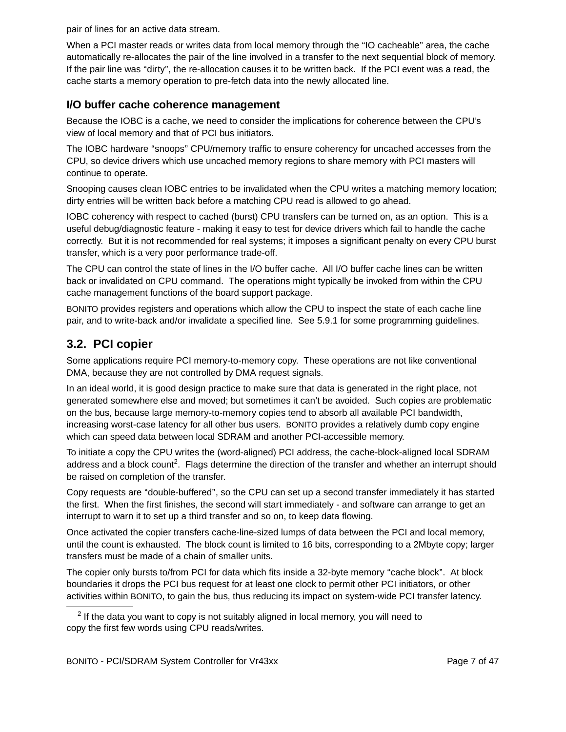pair of lines for an active data stream.

When a PCI master reads or writes data from local memory through the ''IO cacheable'' area, the cache automatically re-allocates the pair of the line involved in a transfer to the next sequential block of memory. If the pair line was "dirty", the re-allocation causes it to be written back. If the PCI event was a read, the cache starts a memory operation to pre-fetch data into the newly allocated line.

#### **I/O buffer cache coherence management**

Because the IOBC is a cache, we need to consider the implications for coherence between the CPU's view of local memory and that of PCI bus initiators.

The IOBC hardware "snoops" CPU/memory traffic to ensure coherency for uncached accesses from the CPU, so device drivers which use uncached memory regions to share memory with PCI masters will continue to operate.

Snooping causes clean IOBC entries to be invalidated when the CPU writes a matching memory location; dirty entries will be written back before a matching CPU read is allowed to go ahead.

IOBC coherency with respect to cached (burst) CPU transfers can be turned on, as an option. This is a useful debug/diagnostic feature - making it easy to test for device drivers which fail to handle the cache correctly. But it is not recommended for real systems; it imposes a significant penalty on every CPU burst transfer, which is a very poor performance trade-off.

The CPU can control the state of lines in the I/O buffer cache. All I/O buffer cache lines can be written back or invalidated on CPU command. The operations might typically be invoked from within the CPU cache management functions of the board support package.

BONITO provides registers and operations which allow the CPU to inspect the state of each cache line pair, and to write-back and/or invalidate a specified line. See 5.9.1 for some programming guidelines.

## **3.2. PCI copier**

Some applications require PCI memory-to-memory copy. These operations are not like conventional DMA, because they are not controlled by DMA request signals.

In an ideal world, it is good design practice to make sure that data is generated in the right place, not generated somewhere else and moved; but sometimes it can't be avoided. Such copies are problematic on the bus, because large memory-to-memory copies tend to absorb all available PCI bandwidth, increasing worst-case latency for all other bus users. BONITO provides a relatively dumb copy engine which can speed data between local SDRAM and another PCI-accessible memory.

To initiate a copy the CPU writes the (word-aligned) PCI address, the cache-block-aligned local SDRAM address and a block count<sup>2</sup>. Flags determine the direction of the transfer and whether an interrupt should be raised on completion of the transfer.

Copy requests are ''double-buffered'', so the CPU can set up a second transfer immediately it has started the first. When the first finishes, the second will start immediately - and software can arrange to get an interrupt to warn it to set up a third transfer and so on, to keep data flowing.

Once activated the copier transfers cache-line-sized lumps of data between the PCI and local memory, until the count is exhausted. The block count is limited to 16 bits, corresponding to a 2Mbyte copy; larger transfers must be made of a chain of smaller units.

The copier only bursts to/from PCI for data which fits inside a 32-byte memory "cache block". At block boundaries it drops the PCI bus request for at least one clock to permit other PCI initiators, or other activities within BONITO, to gain the bus, thus reducing its impact on system-wide PCI transfer latency.

 $2$  If the data you want to copy is not suitably aligned in local memory, you will need to copy the first few words using CPU reads/writes.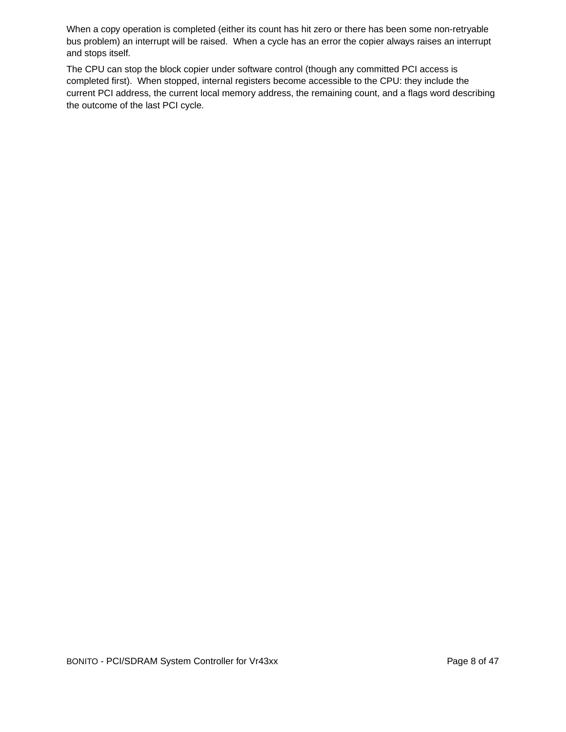When a copy operation is completed (either its count has hit zero or there has been some non-retryable bus problem) an interrupt will be raised. When a cycle has an error the copier always raises an interrupt and stops itself.

The CPU can stop the block copier under software control (though any committed PCI access is completed first). When stopped, internal registers become accessible to the CPU: they include the current PCI address, the current local memory address, the remaining count, and a flags word describing the outcome of the last PCI cycle.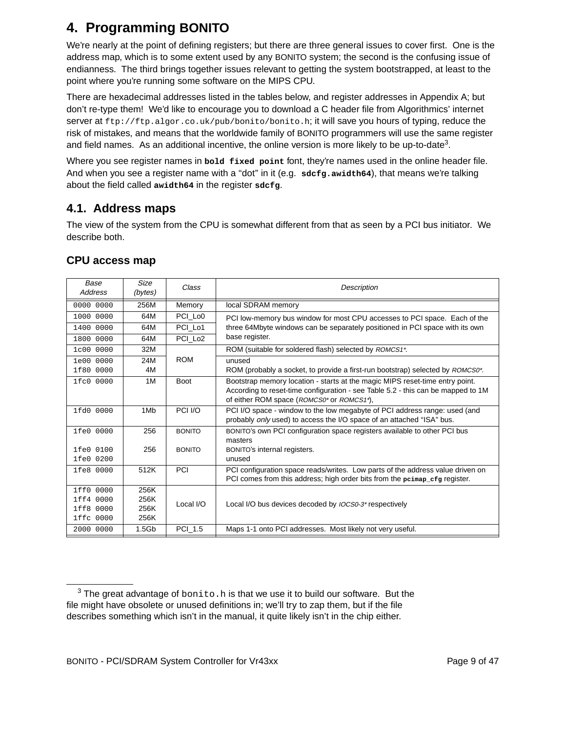# **4. Programming BONITO**

We're nearly at the point of defining registers; but there are three general issues to cover first. One is the address map, which is to some extent used by any BONITO system; the second is the confusing issue of endianness. The third brings together issues relevant to getting the system bootstrapped, at least to the point where you're running some software on the MIPS CPU.

There are hexadecimal addresses listed in the tables below, and register addresses in Appendix A; but don't re-type them! We'd like to encourage you to download a C header file from Algorithmics' internet server at ftp://ftp.algor.co.uk/pub/bonito/bonito.h; it will save you hours of typing, reduce the risk of mistakes, and means that the worldwide family of BONITO programmers will use the same register and field names. As an additional incentive, the online version is more likely to be up-to-date<sup>3</sup>.

Where you see register names in **bold fixed point** font, they're names used in the online header file. And when you see a register name with a ''dot'' in it (e.g. **sdcfg.awidth64**), that means we're talking about the field called **awidth64** in the register **sdcfg**.

## **4.1. Address maps**

The view of the system from the CPU is somewhat different from that as seen by a PCI bus initiator. We describe both.

| Base<br>Address | Size<br>(bytes)   | Class               | Description                                                                                                                                         |  |  |
|-----------------|-------------------|---------------------|-----------------------------------------------------------------------------------------------------------------------------------------------------|--|--|
| 0000 0000       | 256M              | Memory              | local SDRAM memory                                                                                                                                  |  |  |
| 1000 0000       | 64M               | PCI Lo <sub>0</sub> | PCI low-memory bus window for most CPU accesses to PCI space. Each of the                                                                           |  |  |
| 1400 0000       | 64M               | PCI Lo1             | three 64Mbyte windows can be separately positioned in PCI space with its own                                                                        |  |  |
| 1800 0000       | 64M               | PCI Lo <sub>2</sub> | base register.                                                                                                                                      |  |  |
| 1c00 0000       | 32M               |                     | ROM (suitable for soldered flash) selected by ROMCS1*.                                                                                              |  |  |
| 1e00 0000       | 24M               | <b>ROM</b>          | unused                                                                                                                                              |  |  |
| 1f80 0000       | 4M                |                     | ROM (probably a socket, to provide a first-run bootstrap) selected by <i>ROMCS0<sup>*</sup></i> .                                                   |  |  |
| 1fc0 0000       | 1 M               | <b>Boot</b>         | Bootstrap memory location - starts at the magic MIPS reset-time entry point.                                                                        |  |  |
|                 |                   |                     | According to reset-time configuration - see Table 5.2 - this can be mapped to 1M                                                                    |  |  |
|                 |                   |                     | of either ROM space ( <i>ROMCS0</i> <sup>*</sup> or <i>ROMCS1</i> <sup>*</sup> ),                                                                   |  |  |
| 1fd0 0000       | 1M <sub>b</sub>   | PCI I/O             | PCI I/O space - window to the low megabyte of PCI address range: used (and<br>probably only used) to access the I/O space of an attached "ISA" bus. |  |  |
| 1fe0 0000       | 256               | <b>BONITO</b>       | BONITO's own PCI configuration space registers available to other PCI bus                                                                           |  |  |
|                 |                   |                     | masters                                                                                                                                             |  |  |
| 1fe0 0100       | 256               | <b>BONITO</b>       | BONITO's internal registers.                                                                                                                        |  |  |
| 1fe0 0200       |                   |                     | unused                                                                                                                                              |  |  |
| 1fe8 0000       | 512K              | PCI                 | PCI configuration space reads/writes. Low parts of the address value driven on                                                                      |  |  |
|                 |                   |                     | PCI comes from this address; high order bits from the peimap_cfg register.                                                                          |  |  |
| 1ff0 0000       | 256K              |                     |                                                                                                                                                     |  |  |
| 0000<br>1ff4    | 256K              | Local I/O           | Local I/O bus devices decoded by <i>IOCS0-3<sup>*</sup></i> respectively                                                                            |  |  |
| 1ff8 0000       | 256K              |                     |                                                                                                                                                     |  |  |
| 1ffc 0000       | 256K              |                     |                                                                                                                                                     |  |  |
| 2000 0000       | 1.5 <sub>Gb</sub> | PCI_1.5             | Maps 1-1 onto PCI addresses. Most likely not very useful.                                                                                           |  |  |

### **CPU access map**

 $3$  The great advantage of bonito.h is that we use it to build our software. But the file might have obsolete or unused definitions in; we'll try to zap them, but if the file describes something which isn't in the manual, it quite likely isn't in the chip either.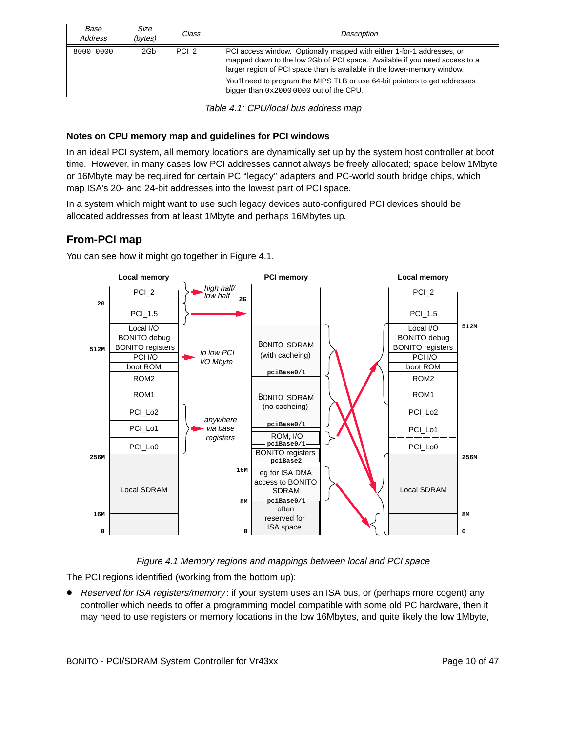| Base<br>Address | Size<br>(bytes) | Class            | Description                                                                                                                                                                                                                                                                                                                                                |
|-----------------|-----------------|------------------|------------------------------------------------------------------------------------------------------------------------------------------------------------------------------------------------------------------------------------------------------------------------------------------------------------------------------------------------------------|
| 8000 0000       | 2Gb             | PCI <sub>2</sub> | PCI access window. Optionally mapped with either 1-for-1 addresses, or<br>mapped down to the low 2Gb of PCI space. Available if you need access to a<br>larger region of PCI space than is available in the lower-memory window.<br>You'll need to program the MIPS TLB or use 64-bit pointers to get addresses<br>bigger than 0x2000 0000 out of the CPU. |

Table 4.1: CPU/local bus address map

#### **Notes on CPU memory map and guidelines for PCI windows**

In an ideal PCI system, all memory locations are dynamically set up by the system host controller at boot time. However, in many cases low PCI addresses cannot always be freely allocated; space below 1Mbyte or 16Mbyte may be required for certain PC "legacy" adapters and PC-world south bridge chips, which map ISA's 20- and 24-bit addresses into the lowest part of PCI space.

In a system which might want to use such legacy devices auto-configured PCI devices should be allocated addresses from at least 1Mbyte and perhaps 16Mbytes up.

### **From-PCI map**

You can see how it might go together in Figure 4.1.



Figure 4.1 Memory regions and mappings between local and PCI space

The PCI regions identified (working from the bottom up):

• Reserved for ISA registers/memory: if your system uses an ISA bus, or (perhaps more cogent) any controller which needs to offer a programming model compatible with some old PC hardware, then it may need to use registers or memory locations in the low 16Mbytes, and quite likely the low 1Mbyte,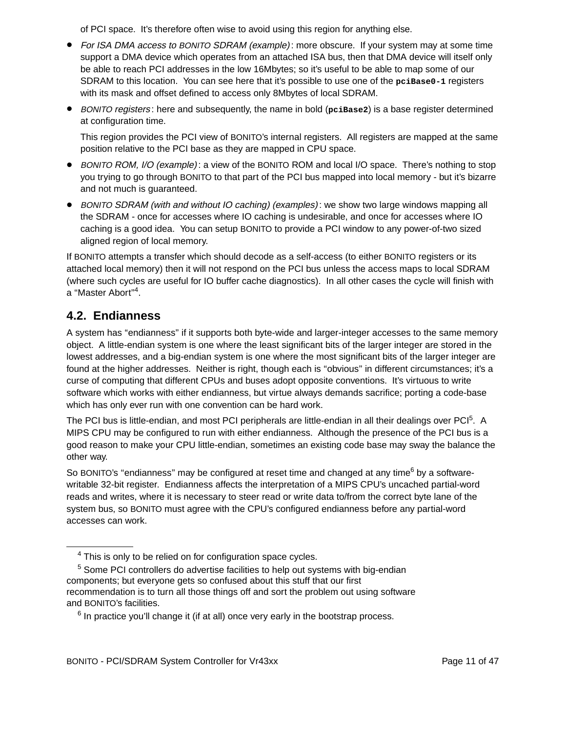of PCI space. It's therefore often wise to avoid using this region for anything else.

- For ISA DMA access to BONITO SDRAM (example): more obscure. If your system may at some time support a DMA device which operates from an attached ISA bus, then that DMA device will itself only be able to reach PCI addresses in the low 16Mbytes; so it's useful to be able to map some of our SDRAM to this location. You can see here that it's possible to use one of the pciBase0-1 registers with its mask and offset defined to access only 8Mbytes of local SDRAM.
- BONITO registers : here and subsequently, the name in bold (**pciBase2**) is a base register determined at configuration time.

This region provides the PCI view of BONITO's internal registers. All registers are mapped at the same position relative to the PCI base as they are mapped in CPU space.

- BONITO ROM, I/O (example): a view of the BONITO ROM and local I/O space. There's nothing to stop you trying to go through BONITO to that part of the PCI bus mapped into local memory - but it's bizarre and not much is guaranteed.
- BONITO SDRAM (with and without IO caching) (examples): we show two large windows mapping all the SDRAM - once for accesses where IO caching is undesirable, and once for accesses where IO caching is a good idea. You can setup BONITO to provide a PCI window to any power-of-two sized aligned region of local memory.

If BONITO attempts a transfer which should decode as a self-access (to either BONITO registers or its attached local memory) then it will not respond on the PCI bus unless the access maps to local SDRAM (where such cycles are useful for IO buffer cache diagnostics). In all other cases the cycle will finish with a "Master Abort"<sup>4</sup>.

### **4.2. Endianness**

A system has "endianness" if it supports both byte-wide and larger-integer accesses to the same memory object. A little-endian system is one where the least significant bits of the larger integer are stored in the lowest addresses, and a big-endian system is one where the most significant bits of the larger integer are found at the higher addresses. Neither is right, though each is "obvious" in different circumstances; it's a curse of computing that different CPUs and buses adopt opposite conventions. It's virtuous to write software which works with either endianness, but virtue always demands sacrifice; porting a code-base which has only ever run with one convention can be hard work.

The PCI bus is little-endian, and most PCI peripherals are little-endian in all their dealings over PCI<sup>5</sup>. A MIPS CPU may be configured to run with either endianness. Although the presence of the PCI bus is a good reason to make your CPU little-endian, sometimes an existing code base may sway the balance the other way.

So BONITO's "endianness" may be configured at reset time and changed at any time<sup>6</sup> by a softwarewritable 32-bit register. Endianness affects the interpretation of a MIPS CPU's uncached partial-word reads and writes, where it is necessary to steer read or write data to/from the correct byte lane of the system bus, so BONITO must agree with the CPU's configured endianness before any partial-word accesses can work.

<sup>&</sup>lt;sup>4</sup> This is only to be relied on for configuration space cycles.

 $5$  Some PCI controllers do advertise facilities to help out systems with big-endian components; but everyone gets so confused about this stuff that our first recommendation is to turn all those things off and sort the problem out using software and BONITO's facilities.

 $6$  In practice you'll change it (if at all) once very early in the bootstrap process.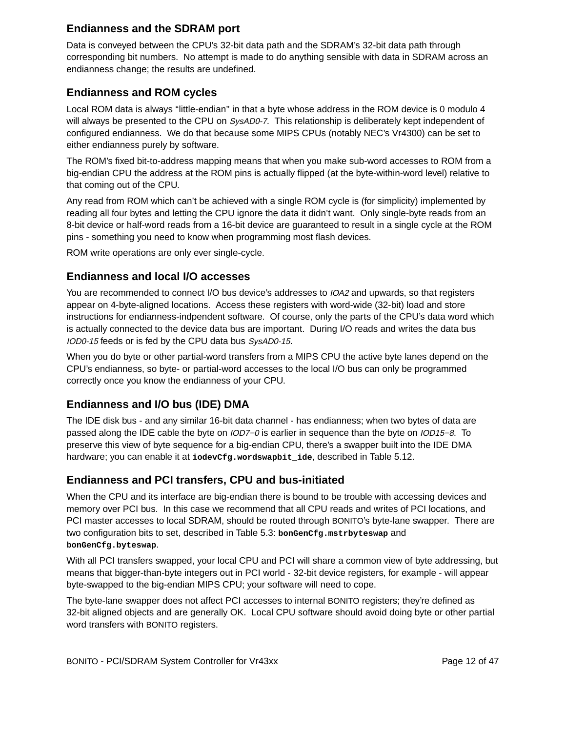#### **Endianness and the SDRAM port**

Data is conveyed between the CPU's 32-bit data path and the SDRAM's 32-bit data path through corresponding bit numbers. No attempt is made to do anything sensible with data in SDRAM across an endianness change; the results are undefined.

#### **Endianness and ROM cycles**

Local ROM data is always ''little-endian'' in that a byte whose address in the ROM device is 0 modulo 4 will always be presented to the CPU on SysAD0-7. This relationship is deliberately kept independent of configured endianness. We do that because some MIPS CPUs (notably NEC's Vr4300) can be set to either endianness purely by software.

The ROM's fixed bit-to-address mapping means that when you make sub-word accesses to ROM from a big-endian CPU the address at the ROM pins is actually flipped (at the byte-within-word level) relative to that coming out of the CPU.

Any read from ROM which can't be achieved with a single ROM cycle is (for simplicity) implemented by reading all four bytes and letting the CPU ignore the data it didn't want. Only single-byte reads from an 8-bit device or half-word reads from a 16-bit device are guaranteed to result in a single cycle at the ROM pins - something you need to know when programming most flash devices.

ROM write operations are only ever single-cycle.

#### **Endianness and local I/O accesses**

You are recommended to connect I/O bus device's addresses to IOA2 and upwards, so that registers appear on 4-byte-aligned locations. Access these registers with word-wide (32-bit) load and store instructions for endianness-indpendent software. Of course, only the parts of the CPU's data word which is actually connected to the device data bus are important. During I/O reads and writes the data bus IOD0-15 feeds or is fed by the CPU data bus SysAD0-15.

When you do byte or other partial-word transfers from a MIPS CPU the active byte lanes depend on the CPU's endianness, so byte- or partial-word accesses to the local I/O bus can only be programmed correctly once you know the endianness of your CPU.

### **Endianness and I/O bus (IDE) DMA**

The IDE disk bus - and any similar 16-bit data channel - has endianness; when two bytes of data are passed along the IDE cable the byte on IOD7−0 is earlier in sequence than the byte on IOD15−8. To preserve this view of byte sequence for a big-endian CPU, there's a swapper built into the IDE DMA hardware; you can enable it at iodevcfg.wordswapbit\_ide, described in Table 5.12.

### **Endianness and PCI transfers, CPU and bus-initiated**

When the CPU and its interface are big-endian there is bound to be trouble with accessing devices and memory over PCI bus. In this case we recommend that all CPU reads and writes of PCI locations, and PCI master accesses to local SDRAM, should be routed through BONITO's byte-lane swapper. There are two configuration bits to set, described in Table 5.3: **bonGenCfg.mstrbyteswap** and **bonGenCfg.byteswap**.

With all PCI transfers swapped, your local CPU and PCI will share a common view of byte addressing, but means that bigger-than-byte integers out in PCI world - 32-bit device registers, for example - will appear byte-swapped to the big-endian MIPS CPU; your software will need to cope.

The byte-lane swapper does not affect PCI accesses to internal BONITO registers; they're defined as 32-bit aligned objects and are generally OK. Local CPU software should avoid doing byte or other partial word transfers with BONITO registers.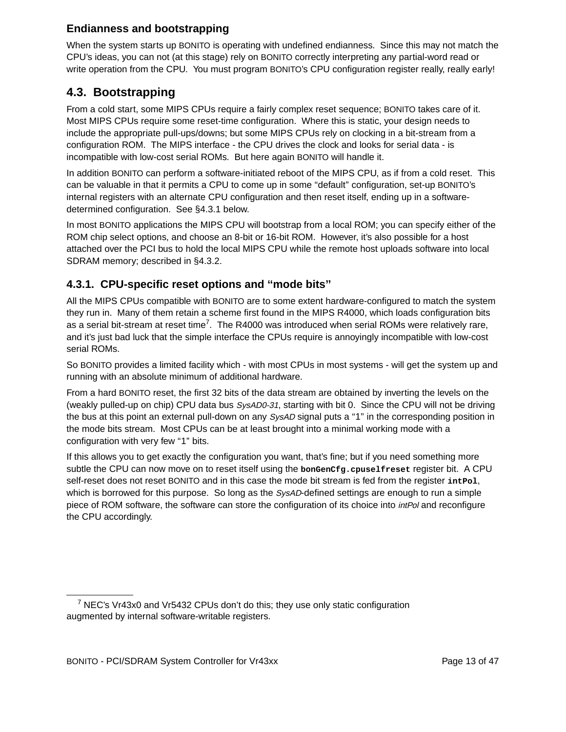#### **Endianness and bootstrapping**

When the system starts up BONITO is operating with undefined endianness. Since this may not match the CPU's ideas, you can not (at this stage) rely on BONITO correctly interpreting any partial-word read or write operation from the CPU. You must program BONITO's CPU configuration register really, really early!

### **4.3. Bootstrapping**

From a cold start, some MIPS CPUs require a fairly complex reset sequence; BONITO takes care of it. Most MIPS CPUs require some reset-time configuration. Where this is static, your design needs to include the appropriate pull-ups/downs; but some MIPS CPUs rely on clocking in a bit-stream from a configuration ROM. The MIPS interface - the CPU drives the clock and looks for serial data - is incompatible with low-cost serial ROMs. But here again BONITO will handle it.

In addition BONITO can perform a software-initiated reboot of the MIPS CPU, as if from a cold reset. This can be valuable in that it permits a CPU to come up in some ''default'' configuration, set-up BONITO's internal registers with an alternate CPU configuration and then reset itself, ending up in a softwaredetermined configuration. See §4.3.1 below.

In most BONITO applications the MIPS CPU will bootstrap from a local ROM; you can specify either of the ROM chip select options, and choose an 8-bit or 16-bit ROM. However, it's also possible for a host attached over the PCI bus to hold the local MIPS CPU while the remote host uploads software into local SDRAM memory; described in §4.3.2.

#### **4.3.1. CPU-specific reset options and ''mode bits''**

All the MIPS CPUs compatible with BONITO are to some extent hardware-configured to match the system they run in. Many of them retain a scheme first found in the MIPS R4000, which loads configuration bits as a serial bit-stream at reset time<sup>7</sup>. The R4000 was introduced when serial ROMs were relatively rare, and it's just bad luck that the simple interface the CPUs require is annoyingly incompatible with low-cost serial ROMs.

So BONITO provides a limited facility which - with most CPUs in most systems - will get the system up and running with an absolute minimum of additional hardware.

From a hard BONITO reset, the first 32 bits of the data stream are obtained by inverting the levels on the (weakly pulled-up on chip) CPU data bus SysAD0-31, starting with bit 0. Since the CPU will not be driving the bus at this point an external pull-down on any SysAD signal puts a "1" in the corresponding position in the mode bits stream. Most CPUs can be at least brought into a minimal working mode with a configuration with very few "1" bits.

If this allows you to get exactly the configuration you want, that's fine; but if you need something more subtle the CPU can now move on to reset itself using the **bonGenCfg.cpuselfreset** register bit. A CPU self-reset does not reset BONITO and in this case the mode bit stream is fed from the register interol, which is borrowed for this purpose. So long as the SysAD-defined settings are enough to run a simple piece of ROM software, the software can store the configuration of its choice into *intPol* and reconfigure the CPU accordingly.

 $7$  NEC's Vr43x0 and Vr5432 CPUs don't do this; they use only static configuration augmented by internal software-writable registers.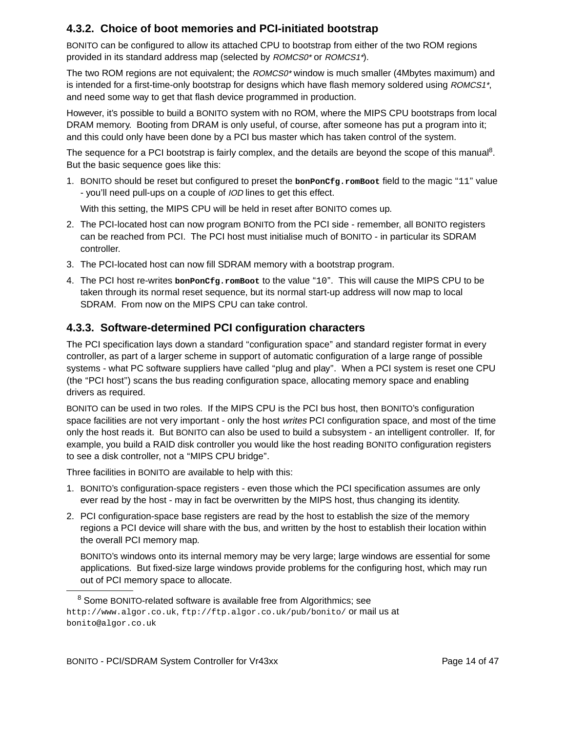#### **4.3.2. Choice of boot memories and PCI-initiated bootstrap**

BONITO can be configured to allow its attached CPU to bootstrap from either of the two ROM regions provided in its standard address map (selected by ROMCS0<sup>\*</sup> or ROMCS1<sup>\*</sup>).

The two ROM regions are not equivalent; the ROMCS0<sup>\*</sup> window is much smaller (4Mbytes maximum) and is intended for a first-time-only bootstrap for designs which have flash memory soldered using ROMCS1<sup>+</sup>. and need some way to get that flash device programmed in production.

However, it's possible to build a BONITO system with no ROM, where the MIPS CPU bootstraps from local DRAM memory. Booting from DRAM is only useful, of course, after someone has put a program into it; and this could only have been done by a PCI bus master which has taken control of the system.

The sequence for a PCI bootstrap is fairly complex, and the details are beyond the scope of this manual<sup>8</sup>. But the basic sequence goes like this:

1. BONITO should be reset but configured to preset the **bonPonCfg.romBoot** field to the magic ''11'' value - you'll need pull-ups on a couple of IOD lines to get this effect.

With this setting, the MIPS CPU will be held in reset after BONITO comes up.

- 2. The PCI-located host can now program BONITO from the PCI side remember, all BONITO registers can be reached from PCI. The PCI host must initialise much of BONITO - in particular its SDRAM controller.
- 3. The PCI-located host can now fill SDRAM memory with a bootstrap program.
- 4. The PCI host re-writes **bonPonCfg.romBoot** to the value ''10''. This will cause the MIPS CPU to be taken through its normal reset sequence, but its normal start-up address will now map to local SDRAM. From now on the MIPS CPU can take control.

#### **4.3.3. Software-determined PCI configuration characters**

The PCI specification lays down a standard "configuration space" and standard register format in every controller, as part of a larger scheme in support of automatic configuration of a large range of possible systems - what PC software suppliers have called "plug and play". When a PCI system is reset one CPU (the ''PCI host'') scans the bus reading configuration space, allocating memory space and enabling drivers as required.

BONITO can be used in two roles. If the MIPS CPU is the PCI bus host, then BONITO's configuration space facilities are not very important - only the host writes PCI configuration space, and most of the time only the host reads it. But BONITO can also be used to build a subsystem - an intelligent controller. If, for example, you build a RAID disk controller you would like the host reading BONITO configuration registers to see a disk controller, not a ''MIPS CPU bridge''.

Three facilities in BONITO are available to help with this:

- 1. BONITO's configuration-space registers even those which the PCI specification assumes are only ever read by the host - may in fact be overwritten by the MIPS host, thus changing its identity.
- 2. PCI configuration-space base registers are read by the host to establish the size of the memory regions a PCI device will share with the bus, and written by the host to establish their location within the overall PCI memory map.

BONITO's windows onto its internal memory may be very large; large windows are essential for some applications. But fixed-size large windows provide problems for the configuring host, which may run out of PCI memory space to allocate.

<sup>&</sup>lt;sup>8</sup> Some BONITO-related software is available free from Algorithmics; see http://www.algor.co.uk, ftp://ftp.algor.co.uk/pub/bonito/ or mail us at bonito@algor.co.uk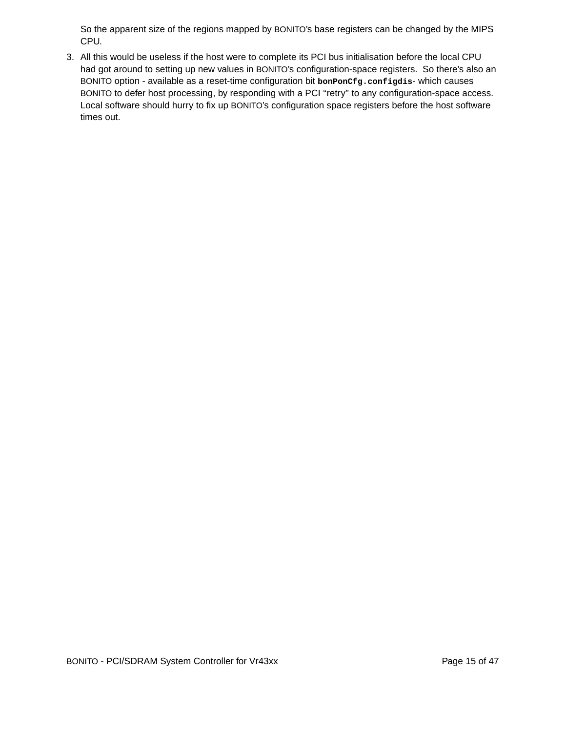So the apparent size of the regions mapped by BONITO's base registers can be changed by the MIPS CPU.

3. All this would be useless if the host were to complete its PCI bus initialisation before the local CPU had got around to setting up new values in BONITO's configuration-space registers. So there's also an BONITO option - available as a reset-time configuration bit **bonPonCfg.configdis**- which causes BONITO to defer host processing, by responding with a PCI "retry" to any configuration-space access. Local software should hurry to fix up BONITO's configuration space registers before the host software times out.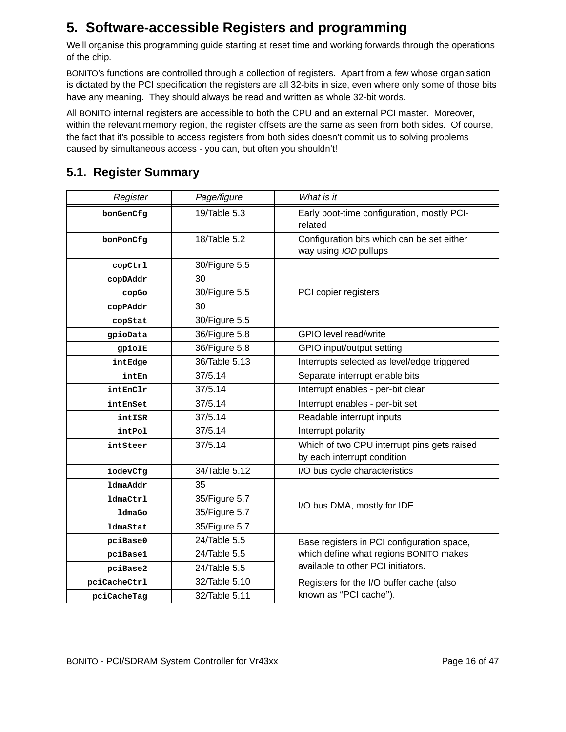## **5. Software-accessible Registers and programming**

We'll organise this programming guide starting at reset time and working forwards through the operations of the chip.

BONITO's functions are controlled through a collection of registers. Apart from a few whose organisation is dictated by the PCI specification the registers are all 32-bits in size, even where only some of those bits have any meaning. They should always be read and written as whole 32-bit words.

All BONITO internal registers are accessible to both the CPU and an external PCI master. Moreover, within the relevant memory region, the register offsets are the same as seen from both sides. Of course, the fact that it's possible to access registers from both sides doesn't commit us to solving problems caused by simultaneous access - you can, but often you shouldn't!

## **5.1. Register Summar y**

| Register                     | Page/figure   | What is it                                                                   |  |  |
|------------------------------|---------------|------------------------------------------------------------------------------|--|--|
| 19/Table 5.3<br>bonGenCfg    |               | Early boot-time configuration, mostly PCI-<br>related                        |  |  |
| bonPonCfq                    | 18/Table 5.2  | Configuration bits which can be set either<br>way using IOD pullups          |  |  |
| copCtrl                      | 30/Figure 5.5 | PCI copier registers                                                         |  |  |
| copDAddr                     | 30            |                                                                              |  |  |
| copGo                        | 30/Figure 5.5 |                                                                              |  |  |
| copPAddr                     | 30            |                                                                              |  |  |
| copStat                      | 30/Figure 5.5 |                                                                              |  |  |
| gpioData                     | 36/Figure 5.8 | GPIO level read/write                                                        |  |  |
| gpioIE                       | 36/Figure 5.8 | GPIO input/output setting                                                    |  |  |
| intEdge                      | 36/Table 5.13 | Interrupts selected as level/edge triggered                                  |  |  |
| 37/5.14<br>intEn             |               | Separate interrupt enable bits                                               |  |  |
| 37/5.14<br>intEnClr          |               | Interrupt enables - per-bit clear                                            |  |  |
| 37/5.14<br>intEnSet          |               | Interrupt enables - per-bit set                                              |  |  |
| 37/5.14<br>intISR            |               | Readable interrupt inputs                                                    |  |  |
| 37/5.14<br>intPol            |               | Interrupt polarity                                                           |  |  |
| 37/5.14<br>intSteer          |               | Which of two CPU interrupt pins gets raised<br>by each interrupt condition   |  |  |
| iodevCfg                     | 34/Table 5.12 | I/O bus cycle characteristics                                                |  |  |
| ldmaAddr                     | 35            |                                                                              |  |  |
| <b>ldmaCtrl</b>              | 35/Figure 5.7 |                                                                              |  |  |
| ldmaGo                       | 35/Figure 5.7 | I/O bus DMA, mostly for IDE                                                  |  |  |
| <b>1dmaStat</b>              | 35/Figure 5.7 |                                                                              |  |  |
| pciBase0                     | 24/Table 5.5  | Base registers in PCI configuration space,                                   |  |  |
| pciBase1                     | 24/Table 5.5  | which define what regions BONITO makes<br>available to other PCI initiators. |  |  |
| pciBase2                     | 24/Table 5.5  |                                                                              |  |  |
| pciCacheCtrl                 | 32/Table 5.10 | Registers for the I/O buffer cache (also                                     |  |  |
| 32/Table 5.11<br>pciCacheTag |               | known as "PCI cache").                                                       |  |  |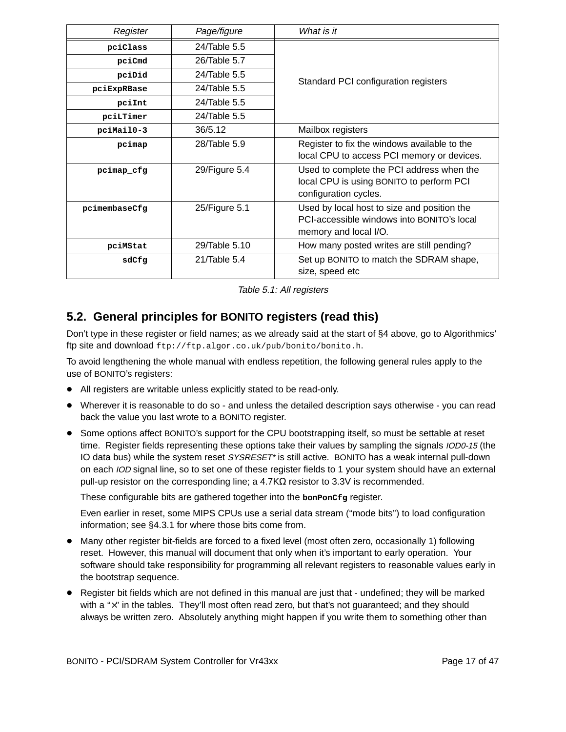| Page/figure<br>Register   |                | What is it                                                                                                         |  |  |  |
|---------------------------|----------------|--------------------------------------------------------------------------------------------------------------------|--|--|--|
| pciClass                  | $24$ Table 5.5 |                                                                                                                    |  |  |  |
| pciCmd                    | 26/Table 5.7   |                                                                                                                    |  |  |  |
| 24/Table 5.5<br>pciDid    |                | Standard PCI configuration registers                                                                               |  |  |  |
| pciExpRBase               | 24/Table 5.5   |                                                                                                                    |  |  |  |
| pciInt                    | 24/Table 5.5   |                                                                                                                    |  |  |  |
| 24/Table 5.5<br>pciLTimer |                |                                                                                                                    |  |  |  |
| pciMail0-3                | 36/5.12        | Mailbox registers                                                                                                  |  |  |  |
| pcimap                    | 28/Table 5.9   | Register to fix the windows available to the<br>local CPU to access PCI memory or devices.                         |  |  |  |
| pcimap cfg                | 29/Figure 5.4  | Used to complete the PCI address when the<br>local CPU is using BONITO to perform PCI<br>configuration cycles.     |  |  |  |
| pcimembaseCfg             | 25/Figure 5.1  | Used by local host to size and position the<br>PCI-accessible windows into BONITO's local<br>memory and local I/O. |  |  |  |
| pciMStat                  | 29/Table 5.10  | How many posted writes are still pending?                                                                          |  |  |  |
| $21$ Table 5.4<br>sdCfg   |                | Set up BONITO to match the SDRAM shape,<br>size, speed etc                                                         |  |  |  |

Table 5.1: All registers

## **5.2. General principles for BONITO registers (read this)**

Don't type in these register or field names; as we already said at the start of §4 above , go to Algorithmics' ftp site and download ftp://ftp.algor.co.uk/pub/bonito/bonito.h.

To avoid lengthening the whole manual with endless repetition, the following general rules apply to the use of BONITO's registers:

- All registers are writable unless explicitly stated to be read-only.
- Wherever it is reasonable to do so and unless the detailed description says otherwise you can read back the value you last wrote to a BONITO register.
- Some options affect BONITO's support for the CPU bootstrapping itself, so must be settable at reset time. Register fields representing these options take their values by sampling the signals IOD0-15 (the IO data bus) while the system reset SYSRESET\* is still active. BONITO has a weak internal pull-down on each IOD signal line, so to set one of these register fields to 1 your system should have an external pull-up resistor on the corresponding line; a 4.7KΩ resistor to 3.3V is recommended.

These configurable bits are gathered together into the **bonPonCfg** register.

Even earlier in reset, some MIPS CPUs use a serial data stream (''mode bits'') to load configuration information; see §4.3.1 for where those bits come from.

- Many other register bit-fields are forced to a fixed level (most often zero, occasionally 1) following reset. However, this manual will document that only when it's important to early operation. Your software should take responsibility for programming all relevant registers to reasonable values early in the bootstrap sequence.
- Register bit fields which are not defined in this manual are just that undefined; they will be marked with a "x" in the tables. They'll most often read zero, but that's not guaranteed; and they should always be written zero. Absolutely anything might happen if you write them to something other than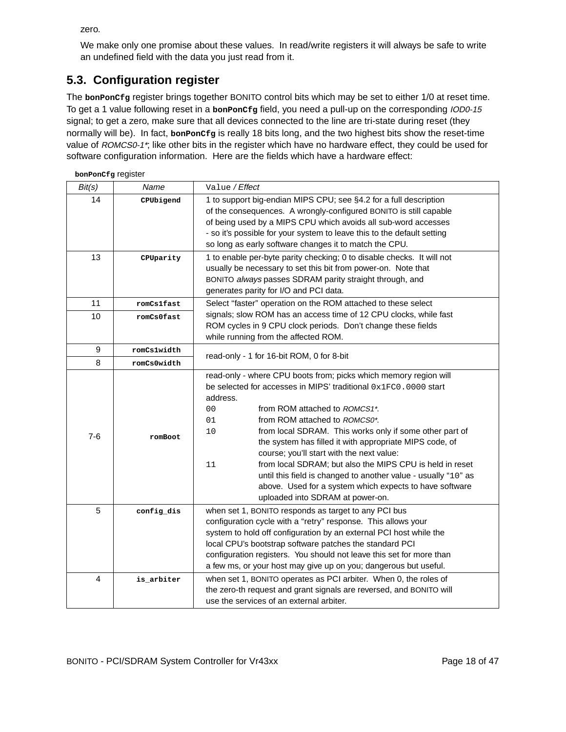zero.

We make only one promise about these values. In read/write registers it will always be safe to write an undefined field with the data you just read from it.

## **5.3. Configuration register**

The **bonPonCfg** register brings together BONITO control bits which may be set to either 1/0 at reset time. To get a 1 value following reset in a **bonPonCfg** field, you need a pull-up on the corresponding IOD0-15 signal; to get a zero, make sure that all devices connected to the line are tri-state during reset (they normally will be). In fact, **bonPonCfg** is really 18 bits long, and the two highest bits show the reset-time value of ROMCS0-1\*; like other bits in the register which have no hardware effect, they could be used for software configuration information. Here are the fields which have a hardware effect:

| bonPonCfg register |                     |                                                                                                                                                                                                                                                                                                                                                                                                                                                                                                                                                                                                                                                                            |  |  |  |  |
|--------------------|---------------------|----------------------------------------------------------------------------------------------------------------------------------------------------------------------------------------------------------------------------------------------------------------------------------------------------------------------------------------------------------------------------------------------------------------------------------------------------------------------------------------------------------------------------------------------------------------------------------------------------------------------------------------------------------------------------|--|--|--|--|
| Bit(s)             | Name                | Value / Effect                                                                                                                                                                                                                                                                                                                                                                                                                                                                                                                                                                                                                                                             |  |  |  |  |
| 14                 | CPUbigend           | 1 to support big-endian MIPS CPU; see §4.2 for a full description<br>of the consequences. A wrongly-configured BONITO is still capable<br>of being used by a MIPS CPU which avoids all sub-word accesses<br>- so it's possible for your system to leave this to the default setting<br>so long as early software changes it to match the CPU.                                                                                                                                                                                                                                                                                                                              |  |  |  |  |
| 13                 | CPUparity           | 1 to enable per-byte parity checking; 0 to disable checks. It will not<br>usually be necessary to set this bit from power-on. Note that<br>BONITO always passes SDRAM parity straight through, and<br>generates parity for I/O and PCI data.                                                                                                                                                                                                                                                                                                                                                                                                                               |  |  |  |  |
| 11                 | romCs1fast          | Select "faster" operation on the ROM attached to these select                                                                                                                                                                                                                                                                                                                                                                                                                                                                                                                                                                                                              |  |  |  |  |
| 10                 | romCs0fast          | signals; slow ROM has an access time of 12 CPU clocks, while fast<br>ROM cycles in 9 CPU clock periods. Don't change these fields<br>while running from the affected ROM.                                                                                                                                                                                                                                                                                                                                                                                                                                                                                                  |  |  |  |  |
| 9                  | romCs1width         |                                                                                                                                                                                                                                                                                                                                                                                                                                                                                                                                                                                                                                                                            |  |  |  |  |
| 8                  | romCs0width         | read-only - 1 for 16-bit ROM, 0 for 8-bit                                                                                                                                                                                                                                                                                                                                                                                                                                                                                                                                                                                                                                  |  |  |  |  |
| $7-6$              | romBoot             | read-only - where CPU boots from; picks which memory region will<br>be selected for accesses in MIPS' traditional $0x1FC0.0000$ start<br>address.<br>0 <sub>0</sub><br>from ROM attached to ROMCS1*.<br>01<br>from ROM attached to <i>ROMCS0<sup>*</sup></i> .<br>10<br>from local SDRAM. This works only if some other part of<br>the system has filled it with appropriate MIPS code, of<br>course; you'll start with the next value:<br>from local SDRAM; but also the MIPS CPU is held in reset<br>11<br>until this field is changed to another value - usually "10" as<br>above. Used for a system which expects to have software<br>uploaded into SDRAM at power-on. |  |  |  |  |
| 5                  | $\verb config-dis $ | when set 1, BONITO responds as target to any PCI bus<br>configuration cycle with a "retry" response. This allows your<br>system to hold off configuration by an external PCI host while the<br>local CPU's bootstrap software patches the standard PCI<br>configuration registers. You should not leave this set for more than<br>a few ms, or your host may give up on you; dangerous but useful.                                                                                                                                                                                                                                                                         |  |  |  |  |
| 4                  | is_arbiter          | when set 1, BONITO operates as PCI arbiter. When 0, the roles of<br>the zero-th request and grant signals are reversed, and BONITO will<br>use the services of an external arbiter.                                                                                                                                                                                                                                                                                                                                                                                                                                                                                        |  |  |  |  |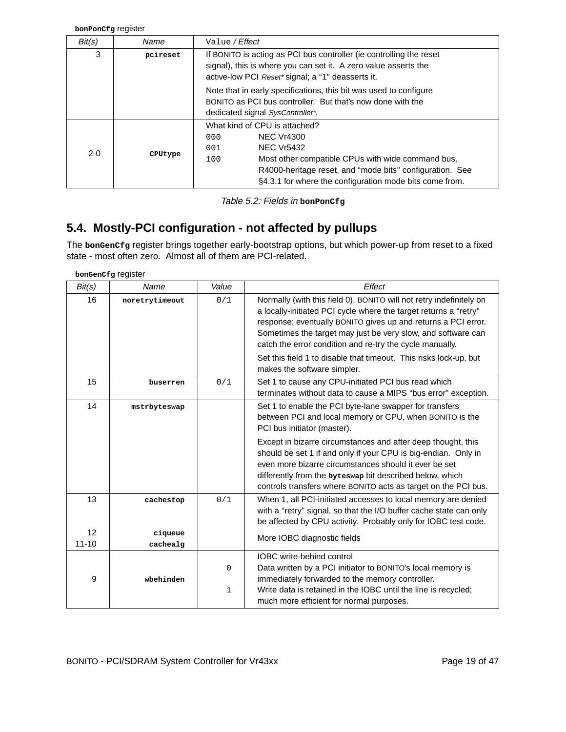**bonPonCfg** register

| Bit(s)  | Name     | Value / Effect                                                                                                                                                                                                                                                           |  |  |  |
|---------|----------|--------------------------------------------------------------------------------------------------------------------------------------------------------------------------------------------------------------------------------------------------------------------------|--|--|--|
| 3       | pcireset | If BONITO is acting as PCI bus controller (ie controlling the reset<br>signal), this is where you can set it. A zero value asserts the<br>active-low PCI Reset* signal; a "1" deasserts it.                                                                              |  |  |  |
|         |          | Note that in early specifications, this bit was used to configure<br>BONITO as PCI bus controller. But that's now done with the<br>dedicated signal SysController*.                                                                                                      |  |  |  |
| $2 - 0$ | CPUtype  | What kind of CPU is attached?<br><b>NEC Vr4300</b><br>000<br><b>NEC Vr5432</b><br>001<br>Most other compatible CPUs with wide command bus,<br>100<br>R4000-heritage reset, and "mode bits" configuration. See<br>§4.3.1 for where the configuration mode bits come from. |  |  |  |

Table 5.2: Fields in **bonPonCfg**

## **5.4. Mostly-PCI configuration - not affected by pullups**

The **bonGenCfg** register brings together early-bootstrap options, but which power-up from reset to a fixed state - most often zero. Almost all of them are PCI-related.

**bonGenCfg** register

| Bit(s)          | Name                | Value | Effect                                                                                                                                                                                                                                                                                                                               |  |  |  |
|-----------------|---------------------|-------|--------------------------------------------------------------------------------------------------------------------------------------------------------------------------------------------------------------------------------------------------------------------------------------------------------------------------------------|--|--|--|
| 16              | noretrytimeout      | 0/1   | Normally (with this field 0), BONITO will not retry indefinitely on<br>a locally-initiated PCI cycle where the target returns a "retry"<br>response; eventually BONITO gives up and returns a PCI error.<br>Sometimes the target may just be very slow, and software can<br>catch the error condition and re-try the cycle manually. |  |  |  |
|                 |                     |       | Set this field 1 to disable that timeout. This risks lock-up, but<br>makes the software simpler.                                                                                                                                                                                                                                     |  |  |  |
| 15              | buserren            | 0/1   | Set 1 to cause any CPU-initiated PCI bus read which<br>terminates without data to cause a MIPS "bus error" exception.                                                                                                                                                                                                                |  |  |  |
| 14              | mstrbyteswap        |       | Set 1 to enable the PCI byte-lane swapper for transfers<br>between PCI and local memory or CPU, when BONITO is the<br>PCI bus initiator (master).                                                                                                                                                                                    |  |  |  |
|                 |                     |       | Except in bizarre circumstances and after deep thought, this<br>should be set 1 if and only if your CPU is big-endian. Only in<br>even more bizarre circumstances should it ever be set<br>differently from the byteswap bit described below, which<br>controls transfers where BONITO acts as target on the PCI bus.                |  |  |  |
| 13              | cachestop           | 0/1   | When 1, all PCI-initiated accesses to local memory are denied<br>with a "retry" signal, so that the I/O buffer cache state can only<br>be affected by CPU activity. Probably only for IOBC test code.                                                                                                                                |  |  |  |
| 12<br>$11 - 10$ | ciqueue<br>cachealg |       | More IOBC diagnostic fields                                                                                                                                                                                                                                                                                                          |  |  |  |
|                 |                     |       | <b>IOBC</b> write-behind control                                                                                                                                                                                                                                                                                                     |  |  |  |
| 9               | wbehinden           | 0     | Data written by a PCI initiator to BONITO's local memory is<br>immediately forwarded to the memory controller.                                                                                                                                                                                                                       |  |  |  |
|                 |                     | 1     | Write data is retained in the IOBC until the line is recycled;<br>much more efficient for normal purposes.                                                                                                                                                                                                                           |  |  |  |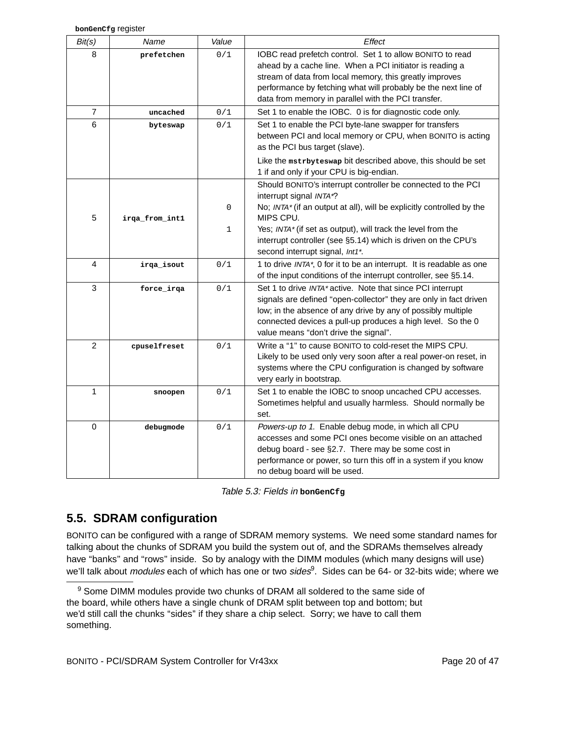| Bit(s)         | Name           | Value       | <b>Effect</b>                                                                                                                                                                                                                                                                                             |
|----------------|----------------|-------------|-----------------------------------------------------------------------------------------------------------------------------------------------------------------------------------------------------------------------------------------------------------------------------------------------------------|
| 8              | prefetchen     | 0/1         | IOBC read prefetch control. Set 1 to allow BONITO to read<br>ahead by a cache line. When a PCI initiator is reading a<br>stream of data from local memory, this greatly improves<br>performance by fetching what will probably be the next line of<br>data from memory in parallel with the PCI transfer. |
| $\overline{7}$ | uncached       | 0/1         | Set 1 to enable the IOBC. 0 is for diagnostic code only.                                                                                                                                                                                                                                                  |
| 6              | byteswap       | 0/1         | Set 1 to enable the PCI byte-lane swapper for transfers<br>between PCI and local memory or CPU, when BONITO is acting<br>as the PCI bus target (slave).<br>Like the mstrbyteswap bit described above, this should be set                                                                                  |
|                |                |             | 1 if and only if your CPU is big-endian.                                                                                                                                                                                                                                                                  |
| 5              | irqa_from_int1 | $\mathbf 0$ | Should BONITO's interrupt controller be connected to the PCI<br>interrupt signal INTA*?<br>No; INTA* (if an output at all), will be explicitly controlled by the<br>MIPS CPU.                                                                                                                             |
|                |                | 1           | Yes; INTA* (if set as output), will track the level from the<br>interrupt controller (see §5.14) which is driven on the CPU's<br>second interrupt signal, Int1*.                                                                                                                                          |
| 4              | irqa_isout     | 0/1         | 1 to drive INTA*, 0 for it to be an interrupt. It is readable as one<br>of the input conditions of the interrupt controller, see §5.14.                                                                                                                                                                   |
| 3              | force_irqa     | 0/1         | Set 1 to drive INTA* active. Note that since PCI interrupt<br>signals are defined "open-collector" they are only in fact driven<br>low; in the absence of any drive by any of possibly multiple<br>connected devices a pull-up produces a high level. So the 0<br>value means "don't drive the signal".   |
| 2              | cpuselfreset   | 0/1         | Write a "1" to cause BONITO to cold-reset the MIPS CPU.<br>Likely to be used only very soon after a real power-on reset, in<br>systems where the CPU configuration is changed by software<br>very early in bootstrap.                                                                                     |
| 1              | snoopen        | 0/1         | Set 1 to enable the IOBC to snoop uncached CPU accesses.<br>Sometimes helpful and usually harmless. Should normally be<br>set.                                                                                                                                                                            |
| 0              | debugmode      | 0/1         | Powers-up to 1. Enable debug mode, in which all CPU<br>accesses and some PCI ones become visible on an attached<br>debug board - see §2.7. There may be some cost in<br>performance or power, so turn this off in a system if you know<br>no debug board will be used.                                    |

| Table 5.3: Fields in bongenCfg |  |
|--------------------------------|--|
|--------------------------------|--|

## **5.5. SDRAM configuration**

BONITO can be configured with a range of SDRAM memory systems. We need some standard names for talking about the chunks of SDRAM you build the system out of, and the SDRAMs themselves already have "banks" and "rows" inside. So by analogy with the DIMM modules (which many designs will use) we'll talk about *modules* each of which has one or two *sides*<sup>9</sup>. Sides can be 64- or 32-bits wide; where we

<sup>&</sup>lt;sup>9</sup> Some DIMM modules provide two chunks of DRAM all soldered to the same side of the board, while others have a single chunk of DRAM split between top and bottom; but we'd still call the chunks "sides" if they share a chip select. Sorry; we have to call them something.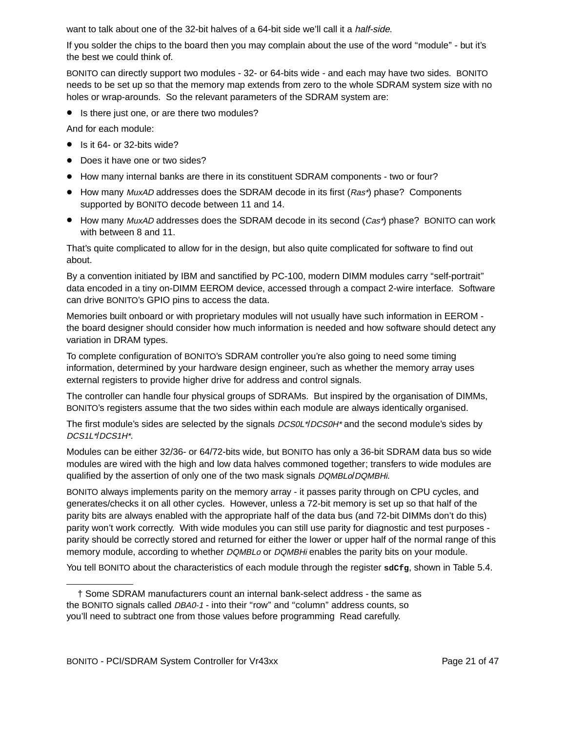want to talk about one of the 32-bit halves of a 64-bit side we'll call it a *half-side*.

If you solder the chips to the board then you may complain about the use of the word ''module'' - but it's the best we could think of.

BONITO can directly support two modules - 32- or 64-bits wide - and each may have two sides. BONITO needs to be set up so that the memory map extends from zero to the whole SDRAM system size with no holes or wrap-arounds. So the relevant parameters of the SDRAM system are:

• Is there just one, or are there two modules?

And for each module:

- $\bullet$  Is it 64- or 32-bits wide?
- Does it have one or two sides?
- How many internal banks are there in its constituent SDRAM components two or four?
- How many MuxAD addresses does the SDRAM decode in its first (Ras\*) phase? Components supported by BONITO decode between 11 and 14.
- How many MuxAD addresses does the SDRAM decode in its second (Cas\*) phase? BONITO can work with between 8 and 11.

That's quite complicated to allow for in the design, but also quite complicated for software to find out about.

By a convention initiated by IBM and sanctified by PC-100, modern DIMM modules carry "self-portrait" data encoded in a tiny on-DIMM EEROM device, accessed through a compact 2-wire interface. Software can drive BONITO's GPIO pins to access the data.

Memories built onboard or with proprietary modules will not usually have such information in EEROM the board designer should consider how much information is needed and how software should detect any variation in DRAM types.

To complete configuration of BONITO's SDRAM controller you're also going to need some timing information, determined by your hardware design engineer, such as whether the memory array uses external registers to provide higher drive for address and control signals.

The controller can handle four physical groups of SDRAMs. But inspired by the organisation of DIMMs, BONITO's registers assume that the two sides within each module are always identically organised.

The first module's sides are selected by the signals *DCS0L\*/DCS0H\** and the second module's sides by DCS1L\*/DCS1H\*.

Modules can be either 32/36- or 64/72-bits wide, but BONITO has only a 36-bit SDRAM data bus so wide modules are wired with the high and low data halves commoned together; transfers to wide modules are qualified by the assertion of only one of the two mask signals DQMBLo/DQMBHi.

BONITO always implements parity on the memory array - it passes parity through on CPU cycles, and generates/checks it on all other cycles. However, unless a 72-bit memory is set up so that half of the parity bits are always enabled with the appropriate half of the data bus (and 72-bit DIMMs don't do this) parity won't work correctly. With wide modules you can still use parity for diagnostic and test purposes parity should be correctly stored and returned for either the lower or upper half of the normal range of this memory module, according to whether DQMBLo or DQMBHi enables the parity bits on your module.

You tell BONITO about the characteristics of each module through the register sdcfg, shown in Table 5.4.

<sup>†</sup> Some SDRAM manufacturers count an internal bank-select address - the same as the BONITO signals called *DBA0-1* - into their "row" and "column" address counts, so you'll need to subtract one from those values before programming Read carefully.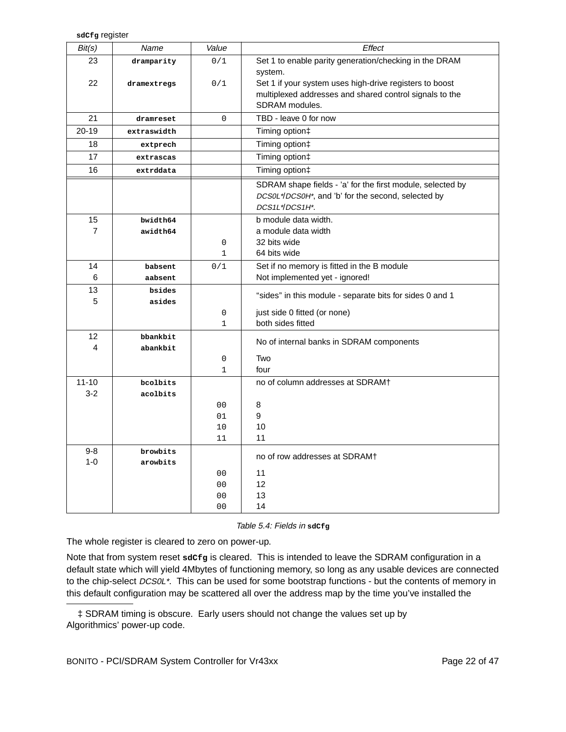| sdc£g register |
|----------------|
|                |

| Bit(s)    | Name        | Value          | Effect                                                     |  |  |  |  |
|-----------|-------------|----------------|------------------------------------------------------------|--|--|--|--|
| 23        | dramparity  | 0/1            | Set 1 to enable parity generation/checking in the DRAM     |  |  |  |  |
|           |             |                | system.                                                    |  |  |  |  |
| 22        | dramextregs | 0/1            | Set 1 if your system uses high-drive registers to boost    |  |  |  |  |
|           |             |                | multiplexed addresses and shared control signals to the    |  |  |  |  |
|           |             |                | SDRAM modules.                                             |  |  |  |  |
| 21        | dramreset   | 0              | TBD - leave 0 for now                                      |  |  |  |  |
| 20-19     | extraswidth |                | Timing option‡                                             |  |  |  |  |
| 18        | extprech    |                | Timing option‡                                             |  |  |  |  |
| 17        | extrascas   |                | Timing option‡                                             |  |  |  |  |
| 16        | extrddata   |                | Timing option‡                                             |  |  |  |  |
|           |             |                | SDRAM shape fields - 'a' for the first module, selected by |  |  |  |  |
|           |             |                | DCS0L*/DCS0H*, and 'b' for the second, selected by         |  |  |  |  |
|           |             |                | DCS1L*/DCS1H*.                                             |  |  |  |  |
| 15        | bwidth64    |                | b module data width.                                       |  |  |  |  |
| 7         | awidth64    |                | a module data width                                        |  |  |  |  |
|           |             | 0              | 32 bits wide                                               |  |  |  |  |
|           |             | $\mathbf{1}$   | 64 bits wide                                               |  |  |  |  |
| 14        | babsent     | 0/1            | Set if no memory is fitted in the B module                 |  |  |  |  |
| 6         | aabsent     |                | Not implemented yet - ignored!                             |  |  |  |  |
| 13        | bsides      |                |                                                            |  |  |  |  |
| 5         | asides      |                | "sides" in this module - separate bits for sides 0 and 1   |  |  |  |  |
|           |             | 0              | just side 0 fitted (or none)                               |  |  |  |  |
|           |             | $\mathbf{1}$   | both sides fitted                                          |  |  |  |  |
| 12        | bbankbit    |                | No of internal banks in SDRAM components                   |  |  |  |  |
| 4         | abankbit    |                |                                                            |  |  |  |  |
|           |             | $\mathbf 0$    | Two                                                        |  |  |  |  |
|           |             | $\mathbf{1}$   | four                                                       |  |  |  |  |
| $11 - 10$ | bcolbits    |                | no of column addresses at SDRAM+                           |  |  |  |  |
| $3 - 2$   | acolbits    |                |                                                            |  |  |  |  |
|           |             | 0 <sub>0</sub> | 8                                                          |  |  |  |  |
|           |             | 01             | 9                                                          |  |  |  |  |
|           |             | 10             | 10                                                         |  |  |  |  |
|           |             | 11             | 11                                                         |  |  |  |  |
| $9 - 8$   | browbits    |                | no of row addresses at SDRAM+                              |  |  |  |  |
| $1 - 0$   | arowbits    |                |                                                            |  |  |  |  |
|           |             | 0 <sub>0</sub> | 11                                                         |  |  |  |  |
|           |             | 0 <sub>0</sub> | 12                                                         |  |  |  |  |
|           |             | 00             | 13                                                         |  |  |  |  |
|           |             | 0 <sub>0</sub> | 14                                                         |  |  |  |  |

Table 5.4: Fields in **sdCfg**

The whole register is cleared to zero on power-up.

Note that from system reset sactg is cleared. This is intended to leave the SDRAM configuration in a default state which will yield 4Mbytes of functioning memory, so long as any usable devices are connected to the chip-select DCS0L<sup>\*</sup>. This can be used for some bootstrap functions - but the contents of memory in this default configuration may be scattered all over the address map by the time you've installed the

 $\ddagger$  SDRAM timing is obscure. Early users should not change the values set up by Algorithmics' power-up code.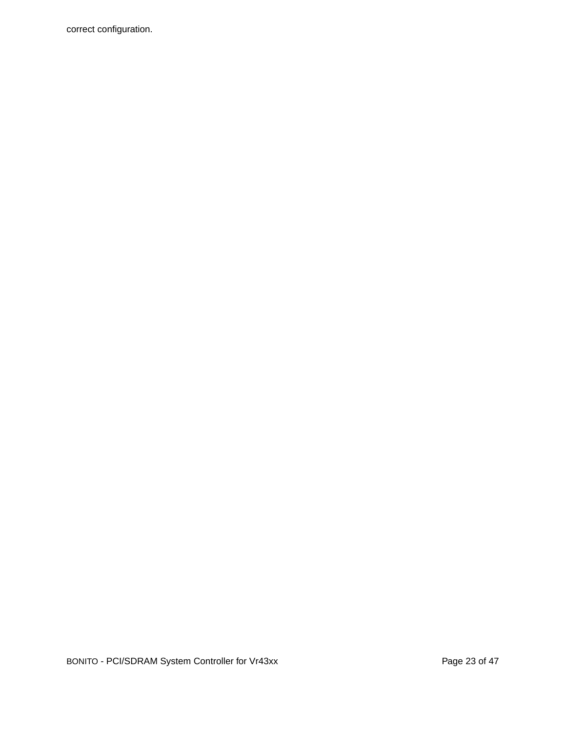correct configuration.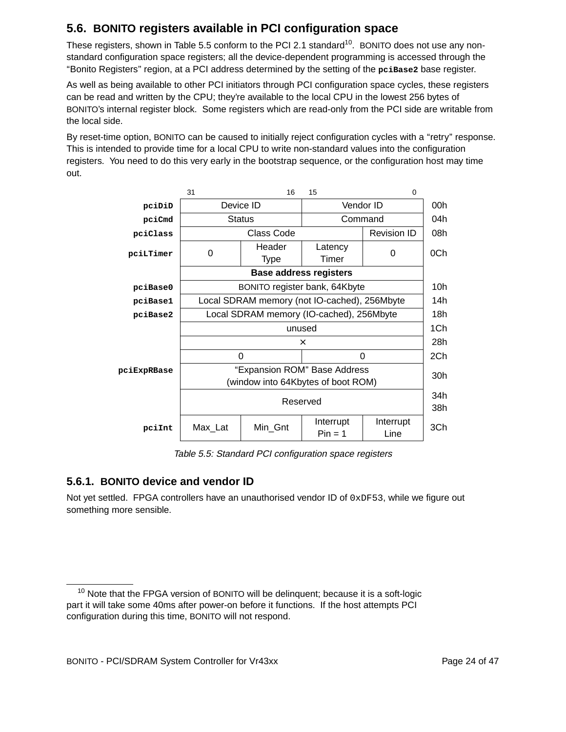## **5.6. BONITO registers available in PCI configuration space**

These registers, shown in Table 5.5 conform to the PCI 2.1 standard<sup>10</sup>. BONITO does not use any nonstandard configuration space registers; all the device-dependent programming is accessed through the ''Bonito Registers'' region, at a PCI address determined by the setting of the **pciBase2** base register.

As well as being available to other PCI initiators through PCI configuration space cycles, these registers can be read and written by the CPU; they're available to the local CPU in the lowest 256 bytes of BONITO's internal register block. Some registers which are read-only from the PCI side are writable from the local side.

By reset-time option, BONITO can be caused to initially reject configuration cycles with a "retry" response. This is intended to provide time for a local CPU to write non-standard values into the configuration registers. You need to do this very early in the bootstrap sequence, or the configuration host may time out.



Table 5.5: Standard PCI configuration space registers

#### **5.6.1. BONITO device and vendor ID**

Not yet settled. FPGA controllers have an unauthorised vendor ID of  $0xDF53$ , while we figure out something more sensible.

 $10$  Note that the FPGA version of BONITO will be delinguent; because it is a soft-logic part it will take some 40ms after power-on before it functions. If the host attempts PCI configuration during this time, BONITO will not respond.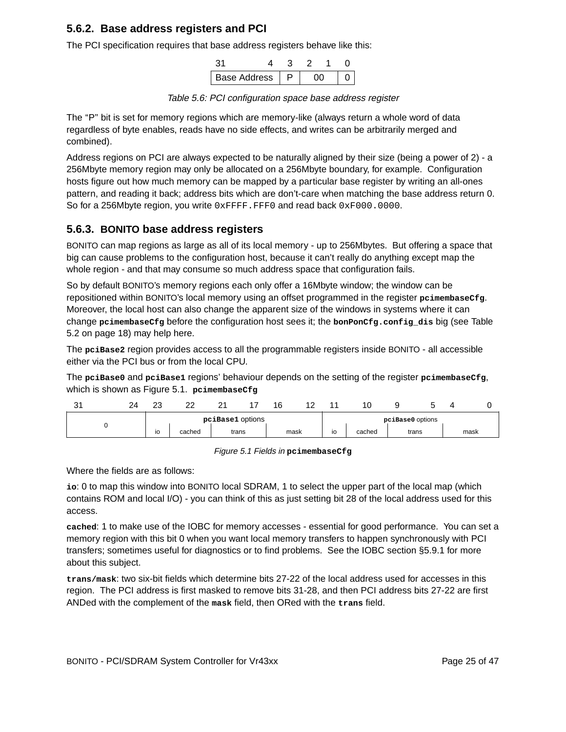#### **5.6.2. Base address registers and PCI**

The PCI specification requires that base address registers behave like this:

| <b>Base Address</b> |  |  |  |
|---------------------|--|--|--|

Table 5.6: PCI configuration space base address register

The "P" bit is set for memory regions which are memory-like (always return a whole word of data regardless of byte enables, reads have no side effects, and writes can be arbitrarily merged and combined).

Address regions on PCI are always expected to be naturally aligned by their size (being a power of 2) - a 256Mbyte memory region may only be allocated on a 256Mbyte boundary, for example. Configuration hosts figure out how much memory can be mapped by a particular base register by writing an all-ones pattern, and reading it back; address bits which are don't-care when matching the base address return 0. So for a 256Mbyte region, you write 0xFFFF. FFF0 and read back 0xF000.0000.

#### **5.6.3. BONITO base address registers**

BONITO can map regions as large as all of its local memory - up to 256Mbytes. But offering a space that big can cause problems to the configuration host, because it can't really do anything except map the whole region - and that may consume so much address space that configuration fails.

So by default BONITO's memory regions each only offer a 16Mbyte window; the window can be repositioned within BONITO's local memory using an offset programmed in the register **pcimembaseCfg**. Moreover, the local host can also change the apparent size of the windows in systems where it can change **pcimembaseCfg** before the configuration host sees it; the **bonPonCfg.config\_dis** big (see Table 5.2 on page 18) may help here.

The **pciBase2** region provides access to all the programmable registers inside BONITO - all accessible either via the PCI bus or from the local CPU.

The **pciBase0** and **pciBase1** regions' behaviour depends on the setting of the register **pcimembaseCfg**, which is shown as Figure 5.1. **pcimembaseCfg**

| ົ<br>ັ | 24<br><u>__</u> | co<br>Z. | n n<br>-- | r.<br>-<br><u>_</u> | 16 | $\sim$ |                                | 10     |                  |      |
|--------|-----------------|----------|-----------|---------------------|----|--------|--------------------------------|--------|------------------|------|
|        |                 |          |           | pciBase1 options    |    |        |                                |        | pciBase0 options |      |
|        |                 | io       | cached    | trans               |    | mask   | $\overline{\phantom{a}}$<br>טו | cached | trans            | mask |

#### Figure 5.1 Fields in **pcimembaseCfg**

Where the fields are as follows:

**io**: 0 to map this window into BONITO local SDRAM, 1 to select the upper part of the local map (which contains ROM and local I/O) - you can think of this as just setting bit 28 of the local address used for this access.

**cached**: 1 to make use of the IOBC for memory accesses - essential for good perfor mance. You can set a memory region with this bit 0 when you want local memory transfers to happen synchronously with PCI transfers; sometimes useful for diagnostics or to find problems. See the IOBC section §5.9.1 for more about this subject.

**trans/mask**: two six-bit fields which determine bits 27-22 of the local address used for accesses in this region. The PCI address is first masked to remove bits 31-28, and then PCI address bits 27-22 are first ANDed with the complement of the **mask** field, then ORed with the **trans** field.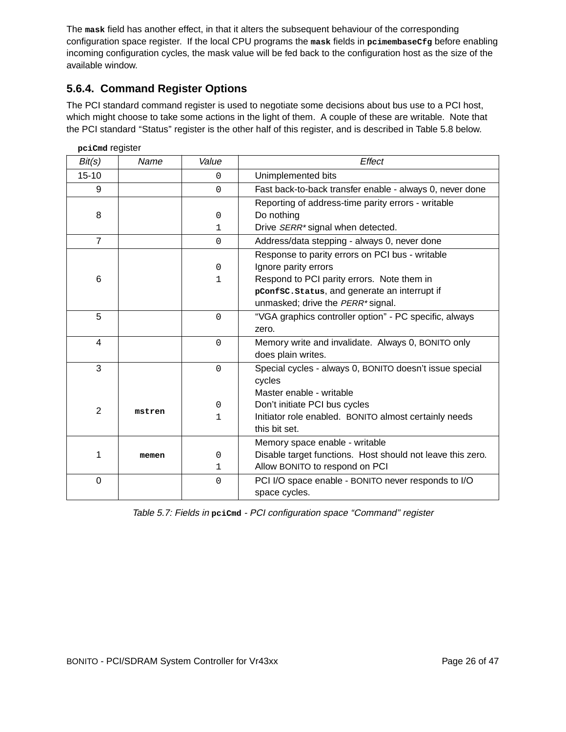The **mask** field has another effect, in that it alters the subsequent behaviour of the corresponding configuration space register. If the local CPU programs the **mask** fields in **pcimembaseCfg** before enabling incoming configuration cycles, the mask value will be fed back to the configuration host as the size of the available window.

#### **5.6.4. Command Register Options**

The PCI standard command register is used to negotiate some decisions about bus use to a PCI host, which might choose to take some actions in the light of them. A couple of these are writable. Note that the PCI standard ''Status'' register is the other half of this register, and is described in Table 5.8 below.

| pciCmd register |        |             |                                                            |
|-----------------|--------|-------------|------------------------------------------------------------|
| Bit(s)          | Name   | Value       | Effect                                                     |
| $15 - 10$       |        | $\mathbf 0$ | Unimplemented bits                                         |
| 9               |        | $\Omega$    | Fast back-to-back transfer enable - always 0, never done   |
|                 |        |             | Reporting of address-time parity errors - writable         |
| 8               |        | $\mathbf 0$ | Do nothing                                                 |
|                 |        | 1           | Drive SERR* signal when detected.                          |
| $\overline{7}$  |        | $\Omega$    | Address/data stepping - always 0, never done               |
|                 |        |             | Response to parity errors on PCI bus - writable            |
|                 |        | $\mathbf 0$ | Ignore parity errors                                       |
| 6               |        | 1           | Respond to PCI parity errors. Note them in                 |
|                 |        |             | pConfsc.status, and generate an interrupt if               |
|                 |        |             | unmasked; drive the PERR* signal.                          |
| 5               |        | $\Omega$    | "VGA graphics controller option" - PC specific, always     |
|                 |        |             | zero.                                                      |
| $\overline{4}$  |        | $\mathbf 0$ | Memory write and invalidate. Always 0, BONITO only         |
|                 |        |             | does plain writes.                                         |
| 3               |        | $\mathbf 0$ | Special cycles - always 0, BONITO doesn't issue special    |
|                 |        |             | cycles                                                     |
|                 |        |             | Master enable - writable                                   |
| $\overline{2}$  | mstren | $\mathbf 0$ | Don't initiate PCI bus cycles                              |
|                 |        | 1           | Initiator role enabled. BONITO almost certainly needs      |
|                 |        |             | this bit set.                                              |
|                 |        |             | Memory space enable - writable                             |
| 1               | memen  | 0           | Disable target functions. Host should not leave this zero. |
|                 |        | 1           | Allow BONITO to respond on PCI                             |
| $\mathbf 0$     |        | $\mathbf 0$ | PCI I/O space enable - BONITO never responds to I/O        |
|                 |        |             | space cycles.                                              |

Table 5.7: Fields in **pciCmd** - PCI configuration space ''Command'' register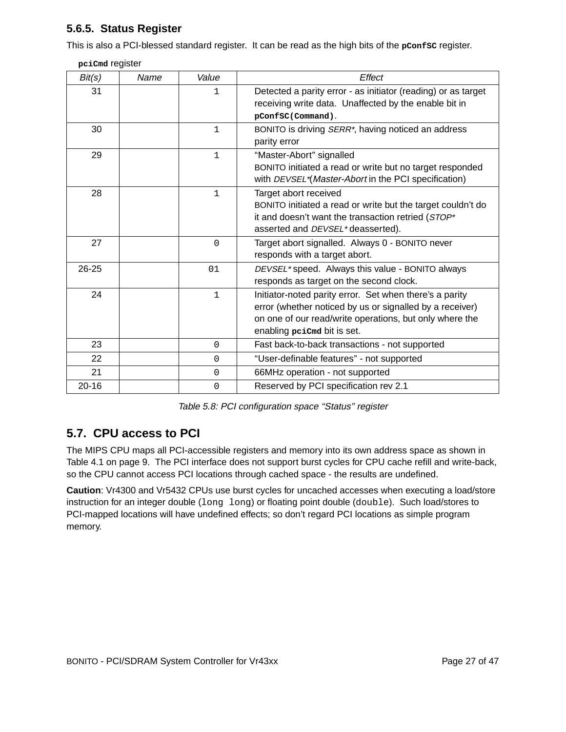### **5.6.5. Status Register**

This is also a PCI-blessed standard register. It can be read as the high bits of the **pConfsC** register.

| pciCmd register |  |
|-----------------|--|
|-----------------|--|

| Bit(s)    | Name | Value        | Effect                                                                                                                                                                                                        |
|-----------|------|--------------|---------------------------------------------------------------------------------------------------------------------------------------------------------------------------------------------------------------|
| 31        |      | 1            | Detected a parity error - as initiator (reading) or as target<br>receiving write data. Unaffected by the enable bit in<br>pConfSC(Command).                                                                   |
| 30        |      | $\mathbf{1}$ | BONITO is driving SERR <sup>*</sup> , having noticed an address<br>parity error                                                                                                                               |
| 29        |      | $\mathbf 1$  | "Master-Abort" signalled<br>BONITO initiated a read or write but no target responded<br>with DEVSEL*(Master-Abort in the PCI specification)                                                                   |
| 28        |      | $\mathbf{1}$ | Target abort received<br>BONITO initiated a read or write but the target couldn't do<br>it and doesn't want the transaction retried (STOP*<br>asserted and DEVSEL* deasserted).                               |
| 27        |      | $\Omega$     | Target abort signalled. Always 0 - BONITO never<br>responds with a target abort.                                                                                                                              |
| $26 - 25$ |      | 01           | DEVSEL* speed. Always this value - BONITO always<br>responds as target on the second clock.                                                                                                                   |
| 24        |      | $\mathbf 1$  | Initiator-noted parity error. Set when there's a parity<br>error (whether noticed by us or signalled by a receiver)<br>on one of our read/write operations, but only where the<br>enabling peicma bit is set. |
| 23        |      | $\mathbf{0}$ | Fast back-to-back transactions - not supported                                                                                                                                                                |
| 22        |      | 0            | "User-definable features" - not supported                                                                                                                                                                     |
| 21        |      | $\mathbf{0}$ | 66MHz operation - not supported                                                                                                                                                                               |
| $20 - 16$ |      | 0            | Reserved by PCI specification rev 2.1                                                                                                                                                                         |

Table 5.8: PCI configuration space "Status" register

## **5.7. CPU access to PCI**

The MIPS CPU maps all PCI-accessible registers and memory into its own address space as shown in Table 4.1 on page 9. The PCI interface does not support burst cycles for CPU cache refill and write-back, so the CPU cannot access PCI locations through cached space - the results are undefined.

**Caution**: Vr4300 and Vr5432 CPUs use burst cycles for uncached accesses when executing a load/store instruction for an integer double (long long) or floating point double (double). Such load/stores to PCI-mapped locations will have undefined effects; so don't regard PCI locations as simple program memory.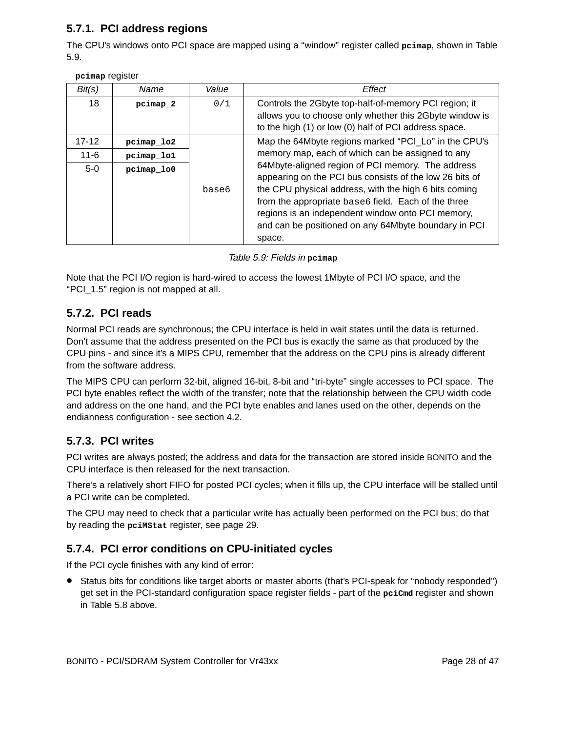### **5.7.1. PCI address regions**

The CPU's windows onto PCI space are mapped using a ''window'' register called **pcimap**, shown in Table 5.9.

| Bit(s)                         | Name                                   | Value | Effect                                                                                                                                                                                                                                                                                                                                                                                                                                                          |
|--------------------------------|----------------------------------------|-------|-----------------------------------------------------------------------------------------------------------------------------------------------------------------------------------------------------------------------------------------------------------------------------------------------------------------------------------------------------------------------------------------------------------------------------------------------------------------|
| 18                             | pcimap 2                               | 0/1   | Controls the 2Gbyte top-half-of-memory PCI region; it<br>allows you to choose only whether this 2Gbyte window is<br>to the high (1) or low (0) half of PCI address space.                                                                                                                                                                                                                                                                                       |
| $17 - 12$<br>$11 - 6$<br>$5-0$ | pcimap lo2<br>pcimap lo1<br>pcimap lo0 | base6 | Map the 64Mbyte regions marked "PCI_Lo" in the CPU's<br>memory map, each of which can be assigned to any<br>64Mbyte-aligned region of PCI memory. The address<br>appearing on the PCI bus consists of the low 26 bits of<br>the CPU physical address, with the high 6 bits coming<br>from the appropriate base6 field. Each of the three<br>regions is an independent window onto PCI memory,<br>and can be positioned on any 64Mbyte boundary in PCI<br>space. |

Table 5.9: Fields in **pcimap**

Note that the PCI I/O region is hard-wired to access the lowest 1Mbyte of PCI I/O space, and the ''PCI\_1.5'' region is not mapped at all.

### **5.7.2. PCI reads**

Normal PCI reads are synchronous; the CPU interface is held in wait states until the data is returned. Don't assume that the address presented on the PCI bus is exactly the same as that produced by the CPU pins - and since it's a MIPS CPU, remember that the address on the CPU pins is already different from the software address.

The MIPS CPU can perform 32-bit, aligned 16-bit, 8-bit and "tri-byte" single accesses to PCI space. The PCI byte enables reflect the width of the transfer; note that the relationship between the CPU width code and address on the one hand, and the PCI byte enables and lanes used on the other, depends on the endianness configuration - see section 4.2.

### **5.7.3. PCI writes**

PCI writes are always posted; the address and data for the transaction are stored inside BONITO and the CPU interface is then released for the next transaction.

There's a relatively short FIFO for posted PCI cycles; when it fills up, the CPU interface will be stalled until a PCI write can be completed.

The CPU may need to check that a particular write has actually been performed on the PCI bus; do that by reading the **pciMStat** register, see page 29.

### **5.7.4. PCI error conditions on CPU-initiated cycles**

If the PCI cycle finishes with any kind of error:

• Status bits for conditions like target aborts or master aborts (that's PCI-speak for ''nobody responded'') get set in the PCI-standard configuration space register fields - part of the **pciCmd** register and shown in Table 5.8 above.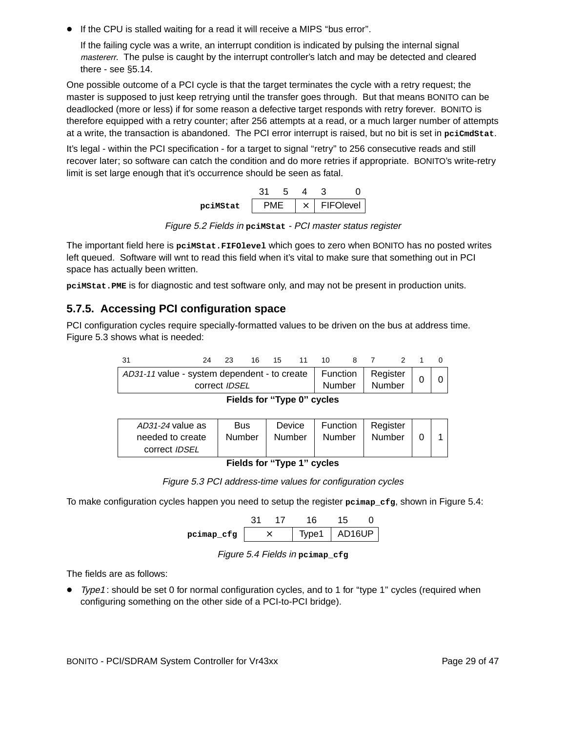• If the CPU is stalled waiting for a read it will receive a MIPS ''bus error''.

If the failing cycle was a write, an interrupt condition is indicated by pulsing the internal signal mastererr. The pulse is caught by the interrupt controller's latch and may be detected and cleared there - see §5.14.

One possible outcome of a PCI cycle is that the target terminates the cycle with a retry request; the master is supposed to just keep retrying until the transfer goes through. But that means BONITO can be deadlocked (more or less) if for some reason a defective target responds with retry forever. BONITO is therefore equipped with a retry counter; after 256 attempts at a read, or a much larger number of attempts at a write, the transaction is abandoned. The PCI error interrupt is raised, but no bit is set in **pciCmdStat**.

It's legal - within the PCI specification - for a target to signal "retry" to 256 consecutive reads and still recover later; so software can catch the condition and do more retries if appropriate. BONITO's write-retry limit is set large enough that it's occurrence should be seen as fatal.

| pciMStat |  | $\times$ 1 | <b>FIFOlevel</b> |
|----------|--|------------|------------------|

Figure 5.2 Fields in peinstat - PCI master status register

The important field here is **pciMStat.FIFOlevel** which goes to zero when BONITO has no posted writes left queued. Software will wnt to read this field when it's vital to make sure that something out in PCI space has actually been written.

**pciMStat.PME** is for diagnostic and test software only, and may not be present in production units.

### **5.7.5. Accessing PCI configuration space**

PCI configuration cycles require specially-formatted values to be driven on the bus at address time. Figure 5.3 shows what is needed:

| - 31                                                               | 24                   | 23 | 16. | 15 | 11 | 10 |        |        |  |
|--------------------------------------------------------------------|----------------------|----|-----|----|----|----|--------|--------|--|
| AD31-11 value - system dependent - to create   Function   Register | correct <i>IDSEL</i> |    |     |    |    |    | Number | Number |  |

**Fields for ''Type 0'' cycles**

| AD31-24 value as<br>needed to create<br>correct <i>IDSEL</i> | Bus<br>Number | Device<br>Number | Function<br>Number | Register<br>Number |  |  |
|--------------------------------------------------------------|---------------|------------------|--------------------|--------------------|--|--|
|--------------------------------------------------------------|---------------|------------------|--------------------|--------------------|--|--|

**Fields for ''Type 1'' cycles**

Figure 5.3 PCI address-time values for configuration cycles

To make configuration cycles happen you need to setup the register **pcimap\_cfg**, shown in Figure 5.4:

|            |  |  | 16.              |  |
|------------|--|--|------------------|--|
| pcimap_cfg |  |  | Type1   $AD16UP$ |  |

Figure 5.4 Fields in **pcimap\_cfg**

The fields are as follows:

• Type1 : should be set 0 for normal configuration cycles, and to 1 for ''type 1'' cycles (required when configuring something on the other side of a PCI-to-PCI bridge).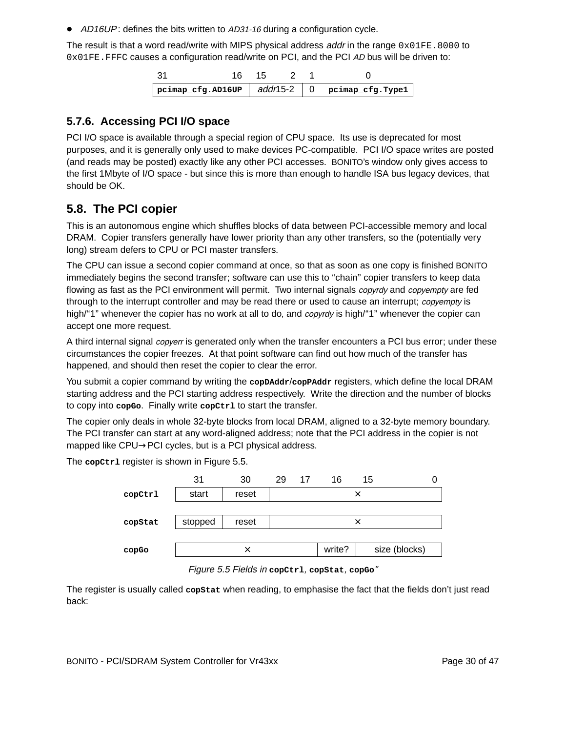• AD16UP: defines the bits written to AD31-16 during a configuration cycle.

The result is that a word read/write with MIPS physical address addr in the range  $0 \times 01FE$ . 8000 to 0x01FE.FFFC causes a configuration read/write on PCI, and the PCI AD bus will be driven to:

| $-31$ | 16 15 |  |                                                                       |
|-------|-------|--|-----------------------------------------------------------------------|
|       |       |  | $\vert$ pcimap_cfg.AD16UP $\vert$ add/15-2 $\vert$ 0 pcimap_cfg.Type1 |

#### **5.7.6. Accessing PCI I/O space**

PCI I/O space is available through a special region of CPU space. Its use is deprecated for most pur poses, and it is generally only used to make devices PC-compatible. PCI I/O space writes are posted (and reads may be posted) exactly like any other PCI accesses. BONITO's window only gives access to the first 1Mbyte of I/O space - but since this is more than enough to handle ISA bus legacy devices, that should be OK.

### **5.8. The PCI copier**

This is an autonomous engine which shuffles blocks of data between PCI-accessible memory and local DRAM. Copier transfers generally have lower priority than any other transfers, so the (potentially very long) stream defers to CPU or PCI master transfers.

The CPU can issue a second copier command at once, so that as soon as one copy is finished BONITO immediately begins the second transfer; software can use this to "chain" copier transfers to keep data flowing as fast as the PCI environment will permit. Two internal signals *copyrdy* and *copyempty* are fed through to the interrupt controller and may be read there or used to cause an interrupt; *copyempty* is high/"1" whenever the copier has no work at all to do, and *copyrdy* is high/"1" whenever the copier can accept one more request.

A third internal signal *copyerr* is generated only when the transfer encounters a PCI bus error; under these circumstances the copier freezes. At that point software can find out how much of the transfer has happened, and should then reset the copier to clear the error.

You submit a copier command by writing the copDAddr/copPAddr registers, which define the local DRAM starting address and the PCI starting address respectively. Write the direction and the number of blocks to copy into **copGo**. Finally write **copCtrl** to start the transfer.

The copier only deals in whole 32-byte blocks from local DRAM, aligned to a 32-byte memory boundary. The PCI transfer can start at any word-aligned address; note that the PCI address in the copier is not mapped like CPU→PCI cycles, but is a PCI physical address.

The **copCtrl** register is shown in Figure 5.5.

| 31      | 30    | 29    | 16     | 15 |               |
|---------|-------|-------|--------|----|---------------|
| start   | reset |       |        |    |               |
|         |       |       |        |    |               |
| stopped |       |       |        |    |               |
|         |       |       |        |    |               |
|         | ×     |       | write? |    | size (blocks) |
|         |       | reset | 17     |    | ×<br>×        |

Figure 5.5 Fields in **copCtrl**, **copStat**, **copGo**"

The register is usually called **copStat** when reading, to emphasise the fact that the fields don't just read back: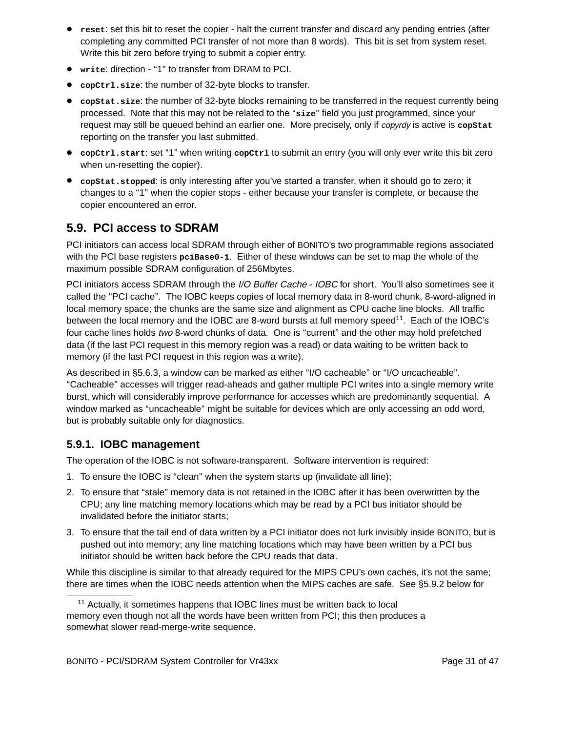- **reset**: set this bit to reset the copier halt the current transfer and discard any pending entries (after completing any committed PCI transfer of not more than 8 words). This bit is set from system reset. Write this bit zero before trying to submit a copier entry.
- **write**: direction ''1'' to transfer from DRAM to PCI.
- **copCtrl.size**: the number of 32-byte blocks to transfer.
- **copStat.size**: the number of 32-byte blocks remaining to be transferred in the request currently being processed. Note that this may not be related to the ''**size**'' field you just programmed, since your request may still be queued behind an earlier one. More precisely, only if copyrdy is active is **copStat** reporting on the transfer you last submitted.
- **copCtrl.start**: set ''1'' when writing **copCtrl** to submit an entry (you will only ever write this bit zero when un-resetting the copier).
- **copStat.stopped**: is only interesting after you've star ted a transfer, when it should go to zero; it changes to a ''1'' when the copier stops - either because your transfer is complete, or because the copier encountered an error.

## **5.9. PCI access to SDRAM**

PCI initiators can access local SDRAM through either of BONITO's two programmable regions associated with the PCI base registers  $p$ ciBase0-1. Either of these windows can be set to map the whole of the maximum possible SDRAM configuration of 256Mbytes.

PCI initiators access SDRAM through the I/O Buffer Cache - IOBC for short. You'll also sometimes see it called the ''PCI cache''. The IOBC keeps copies of local memory data in 8-word chunk, 8-word-aligned in local memory space; the chunks are the same size and alignment as CPU cache line blocks. All traffic between the local memory and the IOBC are 8-word bursts at full memory speed<sup>11</sup>. Each of the IOBC's four cache lines holds two 8-word chunks of data. One is "current" and the other may hold prefetched data (if the last PCI request in this memory region was a read) or data waiting to be written back to memory (if the last PCI request in this region was a write).

As described in §5.6.3, a window can be marked as either ''I/O cacheable'' or ''I/O uncacheable''. ''Cacheable'' accesses will trigger read-aheads and gather multiple PCI writes into a single memory write burst, which will considerably improve performance for accesses which are predominantly sequential. A window marked as "uncacheable" might be suitable for devices which are only accessing an odd word, but is probably suitable only for diagnostics.

### **5.9.1. IOBC management**

The operation of the IOBC is not software-transparent. Software intervention is required:

- 1. To ensure the IOBC is ''clean'' when the system starts up (invalidate all line);
- 2. To ensure that "stale" memory data is not retained in the IOBC after it has been overwritten by the CPU; any line matching memory locations which may be read by a PCI bus initiator should be invalidated before the initiator starts;
- 3. To ensure that the tail end of data written by a PCI initiator does not lurk invisibly inside BONITO, but is pushed out into memory; any line matching locations which may have been written by a PCI bus initiator should be written back before the CPU reads that data.

While this discipline is similar to that already required for the MIPS CPU's own caches, it's not the same; there are times when the IOBC needs attention when the MIPS caches are safe. See §5.9.2 below for

 $11$  Actually, it sometimes happens that IOBC lines must be written back to local memory even though not all the words have been written from PCI; this then produces a somewhat slower read-merge-write sequence.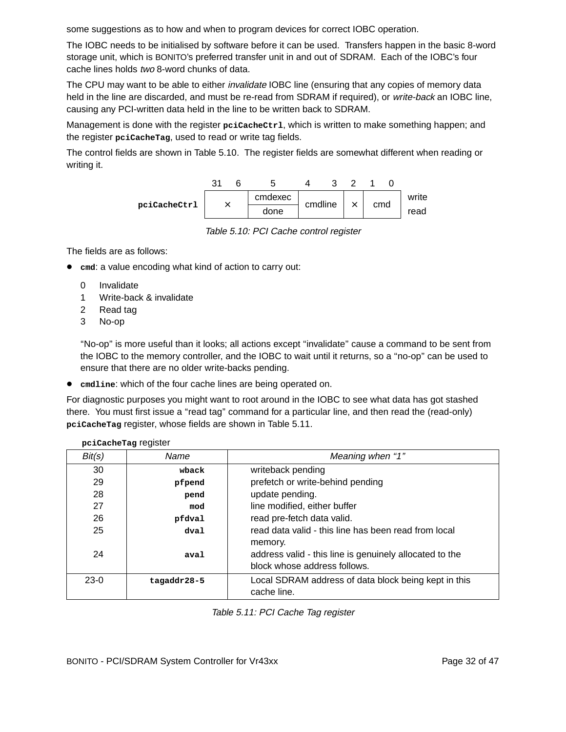some suggestions as to how and when to program devices for correct IOBC operation.

The IOBC needs to be initialised by software before it can be used. Transfers happen in the basic 8-word storage unit, which is BONITO's preferred transfer unit in and out of SDRAM. Each of the IOBC's four cache lines holds two 8-word chunks of data.

The CPU may want to be able to either *invalidate* IOBC line (ensuring that any copies of memory data held in the line are discarded, and must be re-read from SDRAM if required), or write-back an IOBC line, causing any PCI-written data held in the line to be written back to SDRAM.

Management is done with the register **pciCacheCtrl**, which is written to make something happen; and the register **pciCacheTag**, used to read or write tag fields.

The control fields are shown in Table 5.10. The register fields are somewhat different when reading or writing it.



Table 5.10: PCI Cache control register

The fields are as follows:

- **cmd**: a value encoding what kind of action to carry out:
	- 0 Invalidate
	- 1 Write-back & invalidate
	- 2 Read tag

**pciCacheTag** register

3 No-op

''No-op'' is more useful than it looks; all actions except ''invalidate'' cause a command to be sent from the IOBC to the memory controller, and the IOBC to wait until it returns, so a ''no-op'' can be used to ensure that there are no older write-backs pending.

• **cmdline**: which of the four cache lines are being operated on.

For diagnostic purposes you might want to root around in the IOBC to see what data has got stashed there. You must first issue a ''read tag'' command for a particular line, and then read the (read-only) **pciCacheTag** register, whose fields are shown in Table 5.11.

|        | beredelle lag redisier |                                                                                                    |
|--------|------------------------|----------------------------------------------------------------------------------------------------|
| Bit(s) | Name                   | Meaning when "1"                                                                                   |
| 30     | wback                  | writeback pending                                                                                  |
| 29     | pfpend                 | prefetch or write-behind pending                                                                   |
| 28     | pend                   | update pending.                                                                                    |
| 27     | mod                    | line modified, either buffer                                                                       |
| 26     | pfdval                 | read pre-fetch data valid.                                                                         |
| 25     | $d$ val                | read data valid - this line has been read from local                                               |
| 24     | aval                   | memory.<br>address valid - this line is genuinely allocated to the<br>block whose address follows. |
| $23-0$ | tagaddr28-5            | Local SDRAM address of data block being kept in this<br>cache line.                                |

Table 5.11: PCI Cache Tag register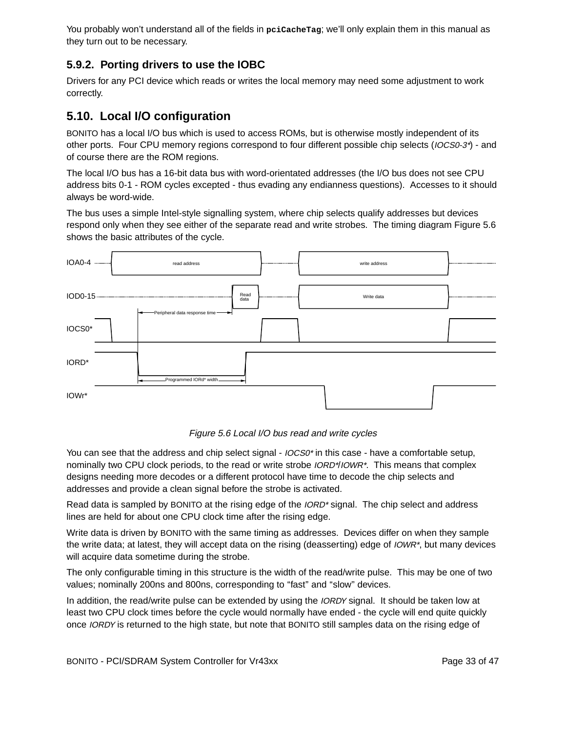You probably won't understand all of the fields in pcicache Tag; we'll only explain them in this manual as they turn out to be necessary.

#### **5.9.2. Por ting drivers to use the IOBC**

Drivers for any PCI device which reads or writes the local memory may need some adjustment to work correctly.

### **5.10. Local I/O configuration**

BONITO has a local I/O bus which is used to access ROMs, but is otherwise mostly independent of its other ports. Four CPU memory regions correspond to four different possible chip selects (IOCS0-3\*) - and of course there are the ROM regions.

The local I/O bus has a 16-bit data bus with word-orientated addresses (the I/O bus does not see CPU address bits 0-1 - ROM cycles excepted - thus evading any endianness questions). Accesses to it should always be word-wide.

The bus uses a simple Intel-style signalling system, where chip selects qualify addresses but devices respond only when they see either of the separate read and write strobes. The timing diagram Figure 5.6 shows the basic attributes of the cycle.



Figure 5.6 Local I/O bus read and write cycles

You can see that the address and chip select signal -  $10CS0<sup>*</sup>$  in this case - have a comfortable setup, nominally two CPU clock periods, to the read or write strobe *IORD\*/IOWR\**. This means that complex designs needing more decodes or a different protocol have time to decode the chip selects and addresses and provide a clean signal before the strobe is activated.

Read data is sampled by BONITO at the rising edge of the *IORD*<sup>\*</sup> signal. The chip select and address lines are held for about one CPU clock time after the rising edge.

Write data is driven by BONITO with the same timing as addresses. Devices differ on when they sample the write data; at latest, they will accept data on the rising (deasserting) edge of *IOWR\**, but many devices will acquire data sometime during the strobe.

The only configurable timing in this structure is the width of the read/write pulse. This may be one of two values; nominally 200ns and 800ns, corresponding to "fast" and "slow" devices.

In addition, the read/write pulse can be extended by using the *IORDY* signal. It should be taken low at least two CPU clock times before the cycle would normally have ended - the cycle will end quite quickly once IORDY is returned to the high state, but note that BONITO still samples data on the rising edge of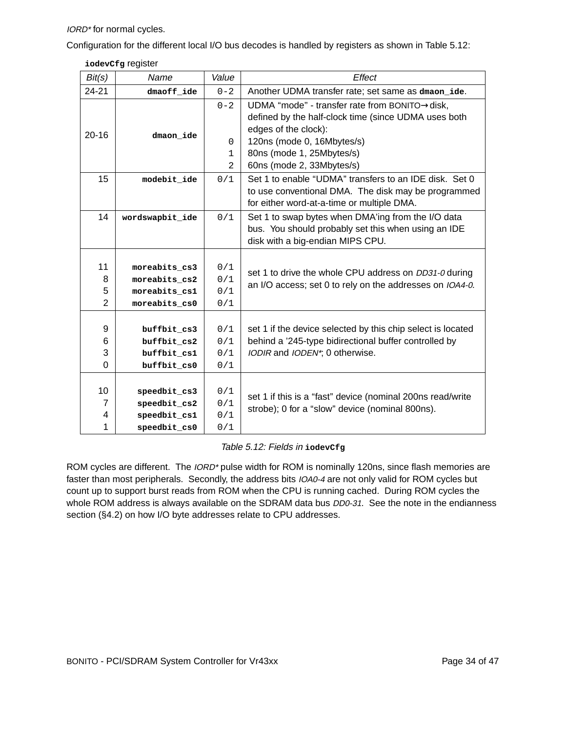IORD\* for normal cycles.

Configuration for the different local I/O bus decodes is handled by registers as shown in Table 5.12:

```
iodevCfg register
```

| Bit(s)                         | Name                                                             | Value                                          | Effect                                                                                                                                                                                                                |
|--------------------------------|------------------------------------------------------------------|------------------------------------------------|-----------------------------------------------------------------------------------------------------------------------------------------------------------------------------------------------------------------------|
| 24-21                          | dmaoff ide                                                       | $0 - 2$                                        | Another UDMA transfer rate; set same as dmaon_ide.                                                                                                                                                                    |
| $20 - 16$                      | dmaon ide                                                        | $0 - 2$<br>$\mathbf{0}$<br>1<br>$\overline{2}$ | UDMA "mode" - transfer rate from BONITO→disk,<br>defined by the half-clock time (since UDMA uses both<br>edges of the clock):<br>120ns (mode 0, 16Mbytes/s)<br>80ns (mode 1, 25Mbytes/s)<br>60ns (mode 2, 33Mbytes/s) |
| 15                             | modebit ide                                                      | 0/1                                            | Set 1 to enable "UDMA" transfers to an IDE disk. Set 0<br>to use conventional DMA. The disk may be programmed<br>for either word-at-a-time or multiple DMA.                                                           |
| 14                             | wordswapbit_ide                                                  | 0/1                                            | Set 1 to swap bytes when DMA'ing from the I/O data<br>bus. You should probably set this when using an IDE<br>disk with a big-endian MIPS CPU.                                                                         |
| 11<br>8<br>5<br>$\overline{2}$ | moreabits cs3<br>moreabits cs2<br>moreabits cs1<br>moreabits cs0 | 0/1<br>0/1<br>0/1<br>0/1                       | set 1 to drive the whole CPU address on DD31-0 during<br>an I/O access; set 0 to rely on the addresses on IOA4-0.                                                                                                     |
| 9<br>6<br>3<br>$\Omega$        | buffbit cs3<br>buffbit cs2<br>buffbit_cs1<br>buffbit_cs0         | 0/1<br>0/1<br>0/1<br>0/1                       | set 1 if the device selected by this chip select is located<br>behind a '245-type bidirectional buffer controlled by<br>IODIR and IODEN*; 0 otherwise.                                                                |
| 10<br>7<br>4<br>1              | $speedbit_ccs3$<br>speedbit cs2<br>speedbit_cs1<br>speedbit_cs0  | 0/1<br>0/1<br>0/1<br>0/1                       | set 1 if this is a "fast" device (nominal 200ns read/write<br>strobe); 0 for a "slow" device (nominal 800ns).                                                                                                         |

#### Table 5.12: Fields in **iodevCfg**

ROM cycles are different. The IORD\* pulse width for ROM is nominally 120ns, since flash memories are faster than most peripherals. Secondly, the address bits IOA0-4 are not only valid for ROM cycles but count up to support burst reads from ROM when the CPU is running cached. During ROM cycles the whole ROM address is always available on the SDRAM data bus DD0-31. See the note in the endianness section (§4.2) on how I/O byte addresses relate to CPU addresses.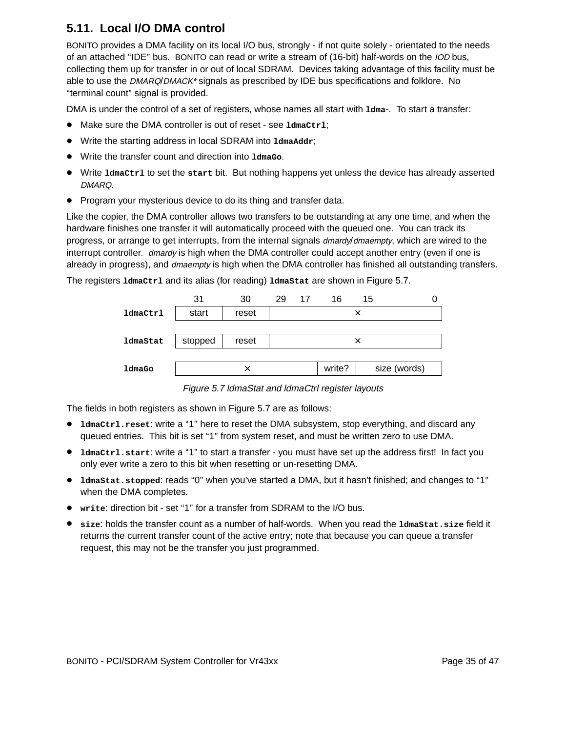## **5.11. Local I/O DMA control**

BONITO provides a DMA facility on its local I/O bus, strongly - if not quite solely - orientated to the needs of an attached "IDE" bus. BONITO can read or write a stream of (16-bit) half-words on the IOD bus, collecting them up for transfer in or out of local SDRAM. Devices taking advantage of this facility must be able to use the DMARQ/DMACK\* signals as prescribed by IDE bus specifications and folklore. No ''ter minal count'' signal is provided.

DMA is under the control of a set of registers, whose names all start with  $1dma-$ . To start a transfer:

- Make sure the DMA controller is out of reset see **ldmaCtrl**;
- Write the starting address in local SDRAM into 1dmaAddr;
- Wr ite the transfer count and direction into **ldmaGo**.
- Wr ite **ldmaCtrl** to set the **start** bit. But nothing happens yet unless the device has already asserted DMARQ.
- Program your mysterious device to do its thing and transfer data.

Like the copier, the DMA controller allows two transfers to be outstanding at any one time, and when the hardware finishes one transfer it will automatically proceed with the queued one. You can track its progress, or arrange to get interrupts, from the internal signals dmardy/dmaempty, which are wired to the interrupt controller. dmardy is high when the DMA controller could accept another entry (even if one is already in progress), and *dmaempty* is high when the DMA controller has finished all outstanding transfers.

The registers **ldmaCtrl** and its alias (for reading) **ldmaStat** are shown in Figure 5.7.

|                 | 31      | 30    | 29 17 | 16     | 15       |              |
|-----------------|---------|-------|-------|--------|----------|--------------|
| <b>ldmaCtrl</b> | start   | reset |       |        | $\times$ |              |
|                 |         |       |       |        |          |              |
| ldmaStat        | stopped | reset |       |        | ×        |              |
|                 |         |       |       |        |          |              |
| ldmaGo          |         |       |       | write? |          | size (words) |

Figure 5.7 ldmaStat and ldmaCtrl register layouts

The fields in both registers as shown in Figure 5.7 are as follows:

- **ldmaCtrl.reset**: write a ''1'' here to reset the DMA subsystem, stop everything, and discard any queued entries. This bit is set "1" from system reset, and must be written zero to use DMA.
- **ldmaCtrl.start:** write a "1" to start a transfer you must have set up the address first! In fact you only ever write a zero to this bit when resetting or un-resetting DMA.
- **ldmaStat.stopped**: reads ''0'' when you've star ted a DMA, but it hasn't finished; and changes to ''1'' when the DMA completes.
- **write**: direction bit set ''1'' for a transfer from SDRAM to the I/O bus.
- **size**: holds the transfer count as a number of half-words. When you read the **ldmaStat.size** field it returns the current transfer count of the active entry; note that because you can queue a transfer request, this may not be the transfer you just programmed.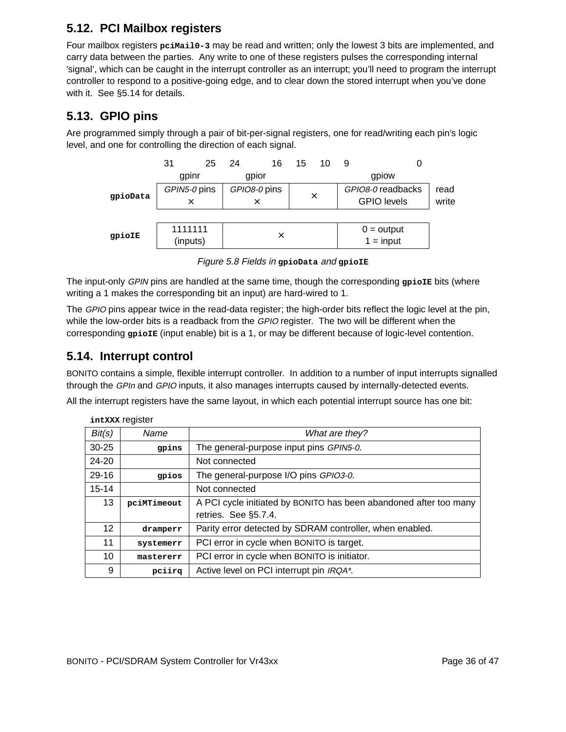## **5.12. PCI Mailbox registers**

Four mailbox registers pcimail0-3 may be read and written; only the lowest 3 bits are implemented, and carry data between the parties. Any write to one of these registers pulses the corresponding internal 'signal', which can be caught in the interrupt controller as an interrupt; you'll need to program the interrupt controller to respond to a positive-going edge, and to clear down the stored interrupt when you've done with it. See §5.14 for details.

## **5.13. GPIO pins**

Are programmed simply through a pair of bit-per-signal registers, one for read/writing each pin's logic level, and one for controlling the direction of each signal.



Figure 5.8 Fields in **gpioData** and **gpioIE**

The input-only *GPIN* pins are handled at the same time, though the corresponding *g*pioIE bits (where writing a 1 makes the corresponding bit an input) are hard-wired to 1.

The GPIO pins appear twice in the read-data register; the high-order bits reflect the logic level at the pin, while the low-order bits is a readback from the GPIO register. The two will be different when the corresponding **gpioIE** (input enable) bit is a 1, or may be different because of logic-level contention.

## **5.14. Interrupt control**

BONITO contains a simple, flexible interrupt controller. In addition to a number of input interrupts signalled through the GPIn and GPIO inputs, it also manages interrupts caused by internally-detected events.

All the interrupt registers have the same layout, in which each potential interrupt source has one bit:

|                   | <b>THLAAA TUGIOIGI</b> |                                                                                           |
|-------------------|------------------------|-------------------------------------------------------------------------------------------|
| Bit(s)            | Name                   | What are they?                                                                            |
| $30 - 25$         | gpins                  | The general-purpose input pins GPIN5-0.                                                   |
| $24 - 20$         |                        | Not connected                                                                             |
| $29 - 16$         | gpios                  | The general-purpose I/O pins GPIO3-0.                                                     |
| $15 - 14$         |                        | Not connected                                                                             |
| 13                | pciMTimeout            | A PCI cycle initiated by BONITO has been abandoned after too many<br>retries. See §5.7.4. |
|                   |                        |                                                                                           |
| $12 \overline{ }$ | dramperr               | Parity error detected by SDRAM controller, when enabled.                                  |
| 11                | systemerr              | PCI error in cycle when BONITO is target.                                                 |
| 10                | mastererr              | PCI error in cycle when BONITO is initiator.                                              |
| 9                 | pciirq                 | Active level on PCI interrupt pin IRQA*.                                                  |

**intXXX** register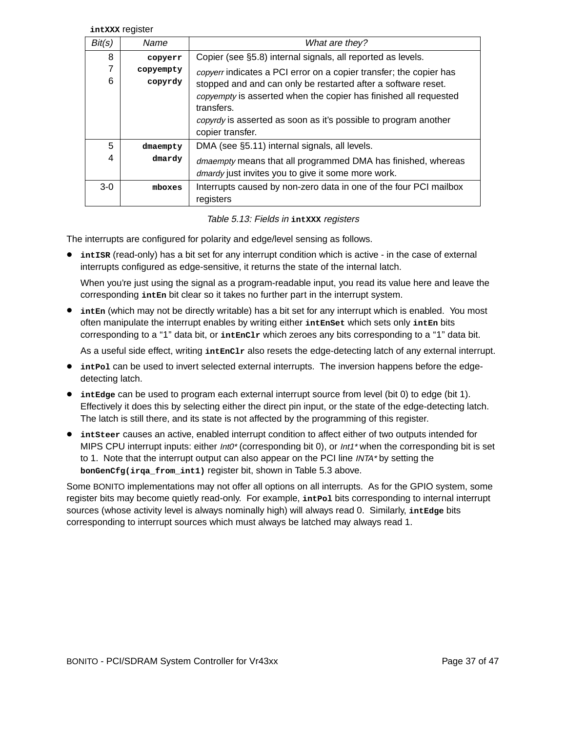**intXXX** register

| Bit(s) | Name      | What are they?                                                     |
|--------|-----------|--------------------------------------------------------------------|
| 8      | copyerr   | Copier (see §5.8) internal signals, all reported as levels.        |
| 7      | copyempty | copyerr indicates a PCI error on a copier transfer; the copier has |
| 6      | copyrdy   | stopped and and can only be restarted after a software reset.      |
|        |           | copyempty is asserted when the copier has finished all requested   |
|        |           | transfers.                                                         |
|        |           | copyrdy is asserted as soon as it's possible to program another    |
|        |           | copier transfer.                                                   |
| 5      | dmaempty  | DMA (see §5.11) internal signals, all levels.                      |
| 4      | dmardy    | dmaempty means that all programmed DMA has finished, whereas       |
|        |           | dmardy just invites you to give it some more work.                 |
| $3-0$  | mboxes    | Interrupts caused by non-zero data in one of the four PCI mailbox  |
|        |           | registers                                                          |

Table 5.13: Fields in **intXXX** registers

The interrupts are configured for polarity and edge/level sensing as follows.

• **intISR** (read-only) has a bit set for any interrupt condition which is active - in the case of external interrupts configured as edge-sensitive, it returns the state of the internal latch.

When you're just using the signal as a program-readable input, you read its value here and leave the corresponding **intEn** bit clear so it takes no further part in the interrupt system.

• inten (which may not be directly writable) has a bit set for any interrupt which is enabled. You most often manipulate the interrupt enables by writing either **intEnSet** which sets only **intEn** bits corresponding to a "1" data bit, or *intEnClr* which zeroes any bits corresponding to a "1" data bit.

As a useful side effect, writing *intEnClr* also resets the edge-detecting latch of any external interrupt.

- intPol can be used to invert selected external interrupts. The inversion happens before the edgedetecting latch.
- intedge can be used to program each external interrupt source from level (bit 0) to edge (bit 1). Effectively it does this by selecting either the direct pin input, or the state of the edge-detecting latch. The latch is still there, and its state is not affected by the programming of this register.
- **intSteer** causes an active, enabled interrupt condition to affect either of two outputs intended for MIPS CPU interrupt inputs: either Int0\* (corresponding bit 0), or Int1\* when the corresponding bit is set to 1. Note that the interrupt output can also appear on the PCI line INTA\* by setting the **bonGenCfg(irqa\_from\_int1)** register bit, shown in Table 5.3 above .

Some BONITO implementations may not offer all options on all interrupts. As for the GPIO system, some register bits may become quietly read-only. For example, interal bits corresponding to internal interrupt sources (whose activity level is always nominally high) will always read 0. Similarly, intedge bits corresponding to interrupt sources which must always be latched may always read 1.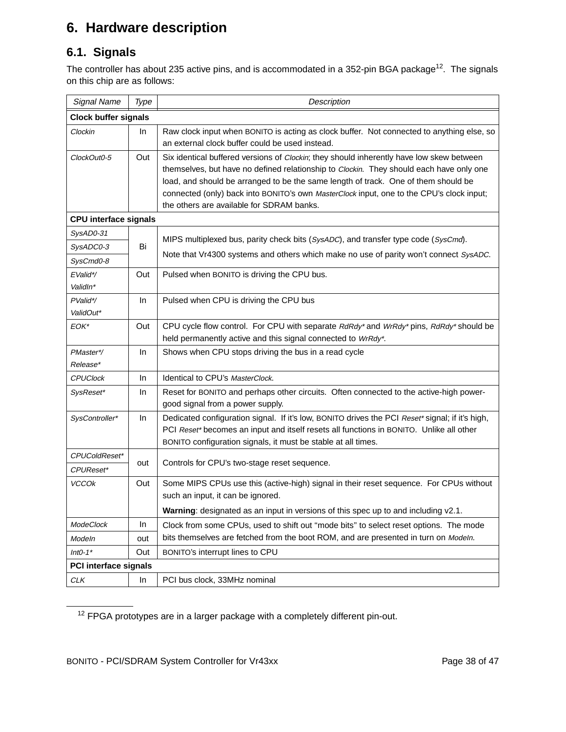# **6. Hardware description**

## **6.1. Signals**

The controller has about 235 active pins, and is accommodated in a 352-pin BGA package<sup>12</sup>. The signals on this chip are as follows:

| Signal Name                  | Type | Description                                                                                                                                                                                                                                                                                                                                                                                                        |
|------------------------------|------|--------------------------------------------------------------------------------------------------------------------------------------------------------------------------------------------------------------------------------------------------------------------------------------------------------------------------------------------------------------------------------------------------------------------|
| <b>Clock buffer signals</b>  |      |                                                                                                                                                                                                                                                                                                                                                                                                                    |
| Clockin                      | In.  | Raw clock input when BONITO is acting as clock buffer. Not connected to anything else, so<br>an external clock buffer could be used instead.                                                                                                                                                                                                                                                                       |
| ClockOut0-5                  | Out  | Six identical buffered versions of Clockin; they should inherently have low skew between<br>themselves, but have no defined relationship to Clockin. They should each have only one<br>load, and should be arranged to be the same length of track. One of them should be<br>connected (only) back into BONITO's own MasterClock input, one to the CPU's clock input;<br>the others are available for SDRAM banks. |
| <b>CPU interface signals</b> |      |                                                                                                                                                                                                                                                                                                                                                                                                                    |
| SysAD0-31                    |      | MIPS multiplexed bus, parity check bits (SysADC), and transfer type code (SysCmd).                                                                                                                                                                                                                                                                                                                                 |
| SysADC0-3                    | Bi   | Note that Vr4300 systems and others which make no use of parity won't connect SysADC.                                                                                                                                                                                                                                                                                                                              |
| SysCmd0-8                    |      |                                                                                                                                                                                                                                                                                                                                                                                                                    |
| EValid*/<br>ValidIn*         | Out  | Pulsed when BONITO is driving the CPU bus.                                                                                                                                                                                                                                                                                                                                                                         |
| PValid*/<br>ValidOut*        | In.  | Pulsed when CPU is driving the CPU bus                                                                                                                                                                                                                                                                                                                                                                             |
| EOK*                         | Out  | CPU cycle flow control. For CPU with separate RdRdy* and WrRdy* pins, RdRdy* should be<br>held permanently active and this signal connected to WrRdy*.                                                                                                                                                                                                                                                             |
| PMaster*/<br>Release*        | In   | Shows when CPU stops driving the bus in a read cycle                                                                                                                                                                                                                                                                                                                                                               |
| <b>CPUClock</b>              | In.  | Identical to CPU's MasterClock.                                                                                                                                                                                                                                                                                                                                                                                    |
| SysReset*                    | In.  | Reset for BONITO and perhaps other circuits. Often connected to the active-high power-<br>good signal from a power supply.                                                                                                                                                                                                                                                                                         |
| SysController*               | In   | Dedicated configuration signal. If it's low, BONITO drives the PCI Reset* signal; if it's high,<br>PCI Reset* becomes an input and itself resets all functions in BONITO. Unlike all other<br>BONITO configuration signals, it must be stable at all times.                                                                                                                                                        |
| CPUColdReset*                |      |                                                                                                                                                                                                                                                                                                                                                                                                                    |
| CPUReset*                    | out  | Controls for CPU's two-stage reset sequence.                                                                                                                                                                                                                                                                                                                                                                       |
| <b>VCCOk</b>                 | Out  | Some MIPS CPUs use this (active-high) signal in their reset sequence. For CPUs without<br>such an input, it can be ignored.                                                                                                                                                                                                                                                                                        |
|                              |      | Warning: designated as an input in versions of this spec up to and including v2.1.                                                                                                                                                                                                                                                                                                                                 |
| <b>ModeClock</b>             | In   | Clock from some CPUs, used to shift out "mode bits" to select reset options. The mode                                                                                                                                                                                                                                                                                                                              |
| Modeln                       | out  | bits themselves are fetched from the boot ROM, and are presented in turn on Modeln.                                                                                                                                                                                                                                                                                                                                |
| $Int0-1*$                    | Out  | BONITO's interrupt lines to CPU                                                                                                                                                                                                                                                                                                                                                                                    |
| <b>PCI interface signals</b> |      |                                                                                                                                                                                                                                                                                                                                                                                                                    |
| CLK                          | In   | PCI bus clock, 33MHz nominal                                                                                                                                                                                                                                                                                                                                                                                       |

<sup>12</sup> FPGA prototypes are in a larger package with a completely different pin-out.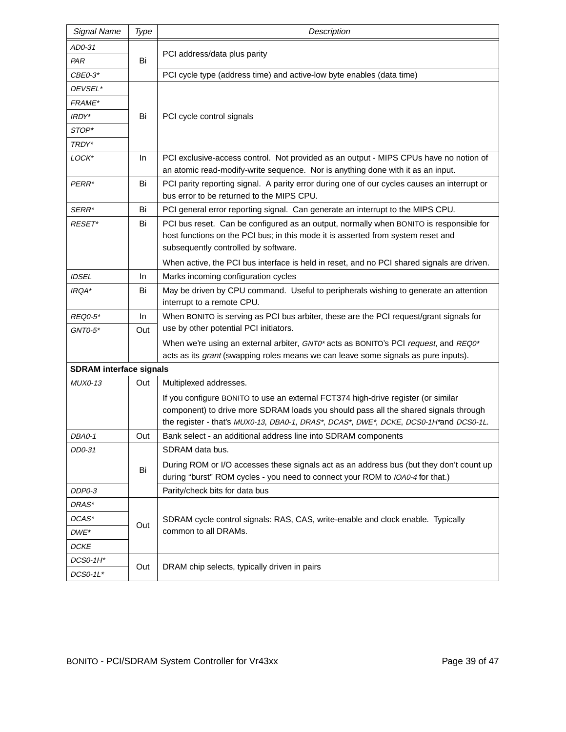| <b>Signal Name</b>             | Type | Description                                                                                                                                                                                                                                                       |  |  |  |  |  |  |  |
|--------------------------------|------|-------------------------------------------------------------------------------------------------------------------------------------------------------------------------------------------------------------------------------------------------------------------|--|--|--|--|--|--|--|
| AD0-31                         |      |                                                                                                                                                                                                                                                                   |  |  |  |  |  |  |  |
| PAR                            | Bi   | PCI address/data plus parity                                                                                                                                                                                                                                      |  |  |  |  |  |  |  |
| $CBE0-3*$                      |      | PCI cycle type (address time) and active-low byte enables (data time)                                                                                                                                                                                             |  |  |  |  |  |  |  |
| <i>DEVSEL*</i>                 |      |                                                                                                                                                                                                                                                                   |  |  |  |  |  |  |  |
| <i>FRAME*</i>                  |      |                                                                                                                                                                                                                                                                   |  |  |  |  |  |  |  |
| IRDY*                          | Bi   | PCI cycle control signals                                                                                                                                                                                                                                         |  |  |  |  |  |  |  |
| STOP*                          |      |                                                                                                                                                                                                                                                                   |  |  |  |  |  |  |  |
| TRDY*                          |      |                                                                                                                                                                                                                                                                   |  |  |  |  |  |  |  |
| LOCK*                          | In.  | PCI exclusive-access control. Not provided as an output - MIPS CPUs have no notion of<br>an atomic read-modify-write sequence. Nor is anything done with it as an input.                                                                                          |  |  |  |  |  |  |  |
| PERR*                          | Bi   | PCI parity reporting signal. A parity error during one of our cycles causes an interrupt or                                                                                                                                                                       |  |  |  |  |  |  |  |
|                                |      | bus error to be returned to the MIPS CPU.                                                                                                                                                                                                                         |  |  |  |  |  |  |  |
| SERR*                          | Bi   | PCI general error reporting signal. Can generate an interrupt to the MIPS CPU.                                                                                                                                                                                    |  |  |  |  |  |  |  |
| RESET*                         | Bi   | PCI bus reset. Can be configured as an output, normally when BONITO is responsible for<br>host functions on the PCI bus; in this mode it is asserted from system reset and<br>subsequently controlled by software.                                                |  |  |  |  |  |  |  |
|                                |      | When active, the PCI bus interface is held in reset, and no PCI shared signals are driven.                                                                                                                                                                        |  |  |  |  |  |  |  |
| <b>IDSEL</b>                   | In.  | Marks incoming configuration cycles                                                                                                                                                                                                                               |  |  |  |  |  |  |  |
| IRQA*                          | Bi   | May be driven by CPU command. Useful to peripherals wishing to generate an attention<br>interrupt to a remote CPU.                                                                                                                                                |  |  |  |  |  |  |  |
| <b>REQ0-5*</b>                 | In.  | When BONITO is serving as PCI bus arbiter, these are the PCI request/grant signals for                                                                                                                                                                            |  |  |  |  |  |  |  |
| $GNT0-5*$                      | Out  | use by other potential PCI initiators.                                                                                                                                                                                                                            |  |  |  |  |  |  |  |
|                                |      | When we're using an external arbiter, GNT0* acts as BONITO's PCI request, and REQ0*                                                                                                                                                                               |  |  |  |  |  |  |  |
|                                |      | acts as its grant (swapping roles means we can leave some signals as pure inputs).                                                                                                                                                                                |  |  |  |  |  |  |  |
| <b>SDRAM</b> interface signals |      |                                                                                                                                                                                                                                                                   |  |  |  |  |  |  |  |
| <b>MUX0-13</b>                 | Out  | Multiplexed addresses.                                                                                                                                                                                                                                            |  |  |  |  |  |  |  |
|                                |      | If you configure BONITO to use an external FCT374 high-drive register (or similar<br>component) to drive more SDRAM loads you should pass all the shared signals through<br>the register - that's MUX0-13, DBA0-1, DRAS*, DCAS*, DWE*, DCKE, DCS0-1H*and DCS0-1L. |  |  |  |  |  |  |  |
| DBA0-1                         | Out  | Bank select - an additional address line into SDRAM components                                                                                                                                                                                                    |  |  |  |  |  |  |  |
| DD0-31                         |      | SDRAM data bus.                                                                                                                                                                                                                                                   |  |  |  |  |  |  |  |
|                                | Bi   | During ROM or I/O accesses these signals act as an address bus (but they don't count up<br>during "burst" ROM cycles - you need to connect your ROM to IOA0-4 for that.)                                                                                          |  |  |  |  |  |  |  |
| DDP0-3                         |      | Parity/check bits for data bus                                                                                                                                                                                                                                    |  |  |  |  |  |  |  |
| DRAS*                          |      |                                                                                                                                                                                                                                                                   |  |  |  |  |  |  |  |
| DCAS*                          | Out  | SDRAM cycle control signals: RAS, CAS, write-enable and clock enable. Typically                                                                                                                                                                                   |  |  |  |  |  |  |  |
| $DWE^*$                        |      | common to all DRAMs.                                                                                                                                                                                                                                              |  |  |  |  |  |  |  |
| <b>DCKE</b>                    |      |                                                                                                                                                                                                                                                                   |  |  |  |  |  |  |  |
| DCS0-1H*                       | Out  | DRAM chip selects, typically driven in pairs                                                                                                                                                                                                                      |  |  |  |  |  |  |  |
| $DCSO-1L^*$                    |      |                                                                                                                                                                                                                                                                   |  |  |  |  |  |  |  |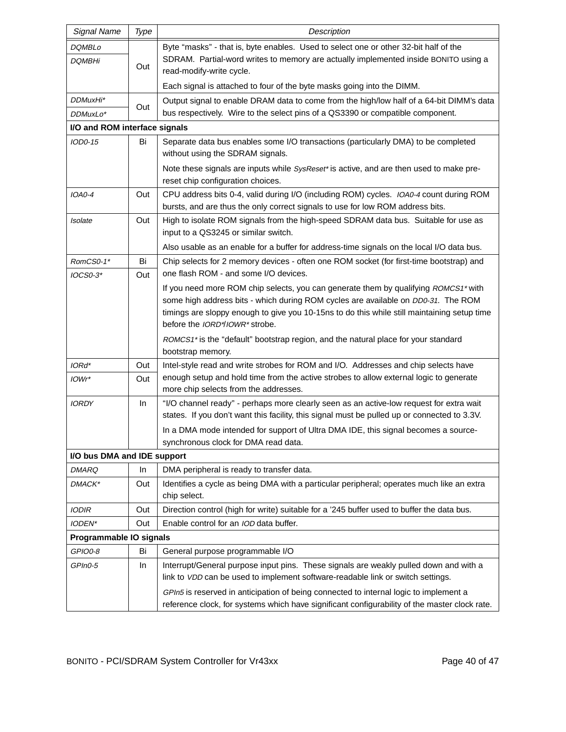| <b>Signal Name</b>            | Type | Description                                                                                                                                                                             |
|-------------------------------|------|-----------------------------------------------------------------------------------------------------------------------------------------------------------------------------------------|
| DQMBLo                        |      | Byte "masks" - that is, byte enables. Used to select one or other 32-bit half of the                                                                                                    |
| <i>DQMBHi</i>                 | Out  | SDRAM. Partial-word writes to memory are actually implemented inside BONITO using a<br>read-modify-write cycle.                                                                         |
|                               |      | Each signal is attached to four of the byte masks going into the DIMM.                                                                                                                  |
| DDMuxHi*<br>DDMuxLo*          | Out  | Output signal to enable DRAM data to come from the high/low half of a 64-bit DIMM's data<br>bus respectively. Wire to the select pins of a QS3390 or compatible component.              |
| I/O and ROM interface signals |      |                                                                                                                                                                                         |
| IOD0-15                       | Bi   | Separate data bus enables some I/O transactions (particularly DMA) to be completed<br>without using the SDRAM signals.                                                                  |
|                               |      | Note these signals are inputs while SysReset* is active, and are then used to make pre-<br>reset chip configuration choices.                                                            |
| <b>IOA0-4</b>                 | Out  | CPU address bits 0-4, valid during I/O (including ROM) cycles. IOA0-4 count during ROM<br>bursts, and are thus the only correct signals to use for low ROM address bits.                |
| Isolate                       | Out  | High to isolate ROM signals from the high-speed SDRAM data bus. Suitable for use as<br>input to a QS3245 or similar switch.                                                             |
|                               |      | Also usable as an enable for a buffer for address-time signals on the local I/O data bus.                                                                                               |
| RomCS0-1*                     | Bi   | Chip selects for 2 memory devices - often one ROM socket (for first-time bootstrap) and                                                                                                 |
| IOCS0-3*                      | Out  | one flash ROM - and some I/O devices.                                                                                                                                                   |
|                               |      | If you need more ROM chip selects, you can generate them by qualifying ROMCS1* with<br>some high address bits - which during ROM cycles are available on DD0-31. The ROM                |
|                               |      | timings are sloppy enough to give you 10-15ns to do this while still maintaining setup time<br>before the IORD*/IOWR* strobe.                                                           |
|                               |      | ROMCS1* is the "default" bootstrap region, and the natural place for your standard<br>bootstrap memory.                                                                                 |
| IORd*                         | Out  | Intel-style read and write strobes for ROM and I/O. Addresses and chip selects have                                                                                                     |
| IOWr*                         | Out  | enough setup and hold time from the active strobes to allow external logic to generate<br>more chip selects from the addresses.                                                         |
| <i><b>IORDY</b></i>           | In   | "I/O channel ready" - perhaps more clearly seen as an active-low request for extra wait<br>states. If you don't want this facility, this signal must be pulled up or connected to 3.3V. |
|                               |      | In a DMA mode intended for support of Ultra DMA IDE, this signal becomes a source-<br>synchronous clock for DMA read data.                                                              |
| I/O bus DMA and IDE support   |      |                                                                                                                                                                                         |
| <b>DMARQ</b>                  | In   | DMA peripheral is ready to transfer data.                                                                                                                                               |
| <b>DMACK*</b>                 | Out  | Identifies a cycle as being DMA with a particular peripheral; operates much like an extra                                                                                               |
|                               |      | chip select.                                                                                                                                                                            |
| <b>IODIR</b>                  | Out  | Direction control (high for write) suitable for a '245 buffer used to buffer the data bus.                                                                                              |
| IODEN*                        | Out  | Enable control for an IOD data buffer.                                                                                                                                                  |
| Programmable IO signals       |      |                                                                                                                                                                                         |
| GPIO0-8                       | Bi   | General purpose programmable I/O                                                                                                                                                        |
| GPIn0-5                       | In   | Interrupt/General purpose input pins. These signals are weakly pulled down and with a<br>link to VDD can be used to implement software-readable link or switch settings.                |
|                               |      | GPIn5 is reserved in anticipation of being connected to internal logic to implement a                                                                                                   |
|                               |      | reference clock, for systems which have significant configurability of the master clock rate.                                                                                           |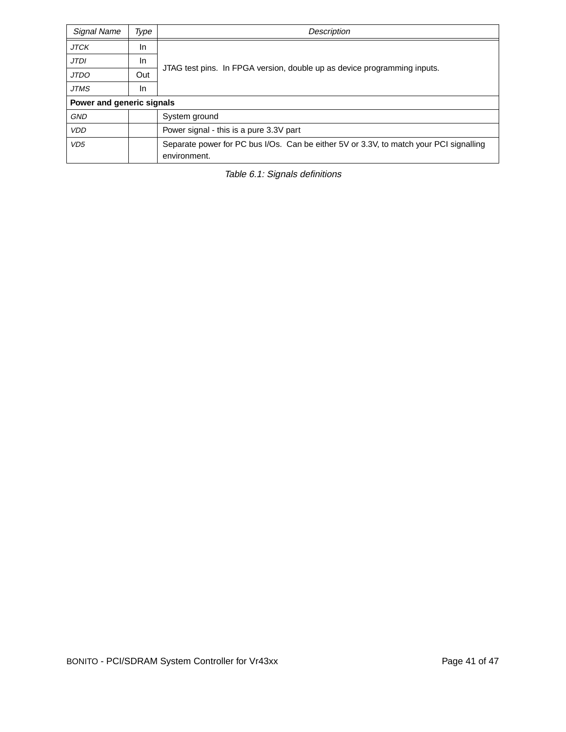| Signal Name               | Type | Description                                                                            |  |  |  |  |  |  |  |
|---------------------------|------|----------------------------------------------------------------------------------------|--|--|--|--|--|--|--|
| <b>JTCK</b>               | In.  |                                                                                        |  |  |  |  |  |  |  |
| <b>JTDI</b>               | In.  |                                                                                        |  |  |  |  |  |  |  |
| <b>JTDO</b>               | Out  | JTAG test pins. In FPGA version, double up as device programming inputs.               |  |  |  |  |  |  |  |
| <b>JTMS</b>               | In   |                                                                                        |  |  |  |  |  |  |  |
| Power and generic signals |      |                                                                                        |  |  |  |  |  |  |  |
| <b>GND</b>                |      | System ground                                                                          |  |  |  |  |  |  |  |
| <b>VDD</b>                |      | Power signal - this is a pure 3.3V part                                                |  |  |  |  |  |  |  |
| VD <sub>5</sub>           |      | Separate power for PC bus I/Os. Can be either 5V or 3.3V, to match your PCI signalling |  |  |  |  |  |  |  |
|                           |      | environment.                                                                           |  |  |  |  |  |  |  |

Table 6.1: Signals definitions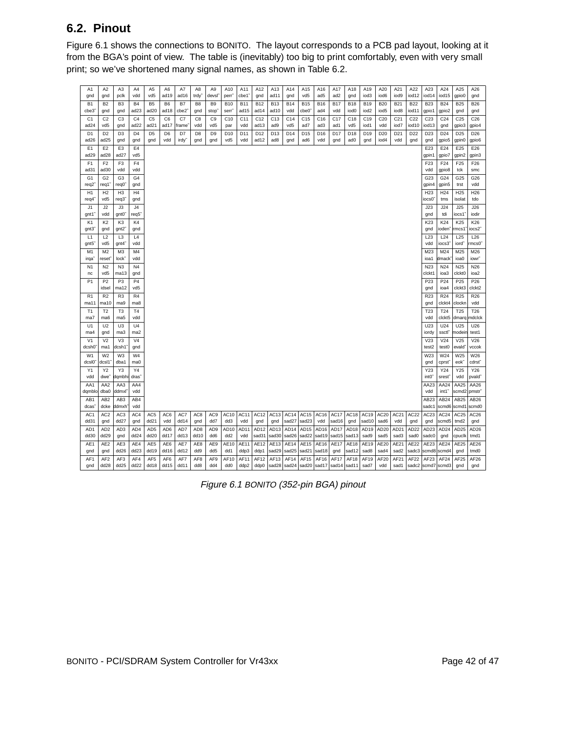## **6.2. Pinout**

Figure 6.1 shows the connections to BONITO. The layout corresponds to a PCB pad layout, looking at it from the BGA's point of view. The table is (inevitably) too big to print comfortably, even with very small print; so we've shortened many signal names, as shown in Table 6.2.

| A1                             | A <sub>2</sub>         | A3                      | A4                                  | A <sub>5</sub>                     | A6                     | A7          | A8                     | A <sub>9</sub>                      | A10                | A11                | A12                     | A13                     | A14               | A15                             | A16               | A17               | A18                            | A19                            | A20                            | A21                | A22                 | A23                      | A24                       | A25                       | A26                |
|--------------------------------|------------------------|-------------------------|-------------------------------------|------------------------------------|------------------------|-------------|------------------------|-------------------------------------|--------------------|--------------------|-------------------------|-------------------------|-------------------|---------------------------------|-------------------|-------------------|--------------------------------|--------------------------------|--------------------------------|--------------------|---------------------|--------------------------|---------------------------|---------------------------|--------------------|
| gnd                            | gnd                    | pclk                    | vdd                                 | vd5                                | ad19                   | ad16        | trdy                   | devsľ                               | perr               | cbe1               | gnd                     | ad11                    | gnd               | vd5                             | ad5               | ad <sub>2</sub>   | gnd                            | iod3                           | iod6                           | iod9               | iod12               | iod14                    | iod15                     | gpio0                     | gnd                |
| <b>B1</b><br>cbe3 <sup>-</sup> | B <sub>2</sub><br>gnd  | B <sub>3</sub><br>gnd   | <b>B4</b><br>ad <sub>23</sub>       | B <sub>5</sub><br>ad <sub>20</sub> | B <sub>6</sub><br>ad18 | B7<br>cbe2  | B <sub>8</sub><br>gnd  | B <sub>9</sub><br>stop <sup>®</sup> | <b>B10</b><br>serr | <b>B11</b><br>ad15 | <b>B12</b><br>ad14      | <b>B13</b><br>ad10      | <b>B14</b><br>vdd | <b>B15</b><br>cbe0 <sup>"</sup> | <b>B16</b><br>ad4 | <b>B17</b><br>vdd | <b>B18</b><br>iod <sub>0</sub> | <b>B19</b><br>iod <sub>2</sub> | <b>B20</b><br>iod <sub>5</sub> | <b>B21</b><br>iod8 | <b>B22</b><br>iod11 | <b>B23</b><br>gpio1      | <b>B24</b><br>gpio2       | <b>B25</b><br>gnd         | <b>B26</b><br>gnd  |
| C <sub>1</sub>                 | C <sub>2</sub>         | C <sub>3</sub>          | C <sub>4</sub>                      | C <sub>5</sub>                     | C <sub>6</sub>         | C7          | C <sub>8</sub>         | C <sub>9</sub>                      | C10                | C11                | C12                     | C13                     | C <sub>14</sub>   | C <sub>15</sub>                 | C16               | C17               | C18                            | C19                            | C <sub>20</sub>                | C <sub>21</sub>    | C <sub>22</sub>     | C <sub>23</sub>          | C <sub>24</sub>           | C <sub>25</sub>           | C <sub>26</sub>    |
| ad <sub>24</sub>               | vd5                    | gnd                     | ad22                                | ad21                               | ad17                   | frame       | vdd                    | vd5                                 | par                | vdd                | ad13                    | ad9                     | vd5               | ad7                             | ad3               | ad1               | vd5                            | iod1                           | vdd                            | iod7               | iod10               | iod13                    | gnd                       | gpio3                     | gpio4              |
| D <sub>1</sub>                 | D <sub>2</sub>         | D <sub>3</sub>          | D <sub>4</sub>                      | D <sub>5</sub>                     | D <sub>6</sub>         | D7          | D <sub>8</sub>         | D <sub>9</sub>                      | D <sub>10</sub>    | D11                | D <sub>12</sub>         | D13                     | D14               | D15                             | D16               | D17               | D <sub>18</sub>                | D19                            | D <sub>20</sub>                | D <sub>21</sub>    | D <sub>22</sub>     | D <sub>23</sub>          | D24                       | D <sub>25</sub>           | D <sub>26</sub>    |
| ad <sub>26</sub>               | ad <sub>25</sub>       | gnd                     | gnd                                 | gnd                                | vdd                    | irdy        | gnd                    | gnd                                 | vd5                | vdd                | ad12                    | ad8                     | gnd               | ad6                             | vdd               | gnd               | ad <sub>0</sub>                | gnd                            | iod4                           | vdd                | gnd                 | gnd                      | gpio5                     | gpin <sub>0</sub>         | gpio6              |
| E <sub>1</sub>                 | E <sub>2</sub>         | E <sub>3</sub>          | E4                                  |                                    |                        |             |                        |                                     |                    |                    |                         |                         |                   |                                 |                   |                   |                                |                                |                                |                    |                     | E23                      | E24                       | E25                       | E26                |
| ad29                           | ad28                   | ad27                    | vd5<br>F4                           |                                    |                        |             |                        |                                     |                    |                    |                         |                         |                   |                                 |                   |                   |                                |                                |                                |                    |                     | gpin1<br>F <sub>23</sub> | gpio7                     | gpin2                     | gpin3              |
| F <sub>1</sub><br>ad31         | F <sub>2</sub><br>ad30 | F <sub>3</sub><br>vdd   | vdd                                 |                                    |                        |             |                        |                                     |                    |                    |                         |                         |                   |                                 |                   |                   |                                |                                |                                |                    |                     | vdd                      | F24<br>gpio8              | F <sub>25</sub><br>tck    | F26<br>smc         |
| G <sub>1</sub>                 | G <sub>2</sub>         | G <sub>3</sub>          | G <sub>4</sub>                      |                                    |                        |             |                        |                                     |                    |                    |                         |                         |                   |                                 |                   |                   |                                |                                |                                |                    |                     | G23                      | G24                       | G25                       | G26                |
| $req2^$                        | req1                   | reg0 <sup>-</sup>       | gnd                                 |                                    |                        |             |                        |                                     |                    |                    |                         |                         |                   |                                 |                   |                   |                                |                                |                                |                    |                     | gpin4                    | gpin5                     | trst                      | vdd                |
| H1                             | H2                     | H <sub>3</sub>          | H <sub>4</sub>                      |                                    |                        |             |                        |                                     |                    |                    |                         |                         |                   |                                 |                   |                   |                                |                                |                                |                    |                     | H <sub>23</sub>          | H <sub>24</sub>           | H <sub>25</sub>           | H <sub>26</sub>    |
| req4 <sup>-</sup>              | vd5                    | req3 <sup>-</sup>       | gnd                                 |                                    |                        |             |                        |                                     |                    |                    |                         |                         |                   |                                 |                   |                   |                                |                                |                                |                    |                     | iocs0 <sup>°</sup>       | tms                       | isolat                    | tdo                |
| J1<br>gnt1 <sup>-</sup>        | J2<br>vdd              | J3<br>gnt0 <sup>-</sup> | J <sub>4</sub><br>req5 <sup>®</sup> |                                    |                        |             |                        |                                     |                    |                    |                         |                         |                   |                                 |                   |                   |                                |                                |                                |                    |                     | J23<br>gnd               | J24<br>tdi                | J25<br>iocs1 <sup>°</sup> | J26<br>iodir       |
| K <sub>1</sub>                 | K <sub>2</sub>         | K <sub>3</sub>          | K4                                  |                                    |                        |             |                        |                                     |                    |                    |                         |                         |                   |                                 |                   |                   |                                |                                |                                |                    |                     | K23                      | K24                       | K25                       | K26                |
| gnt3"                          | gnd                    | gnt2"                   | gnd                                 |                                    |                        |             |                        |                                     |                    |                    |                         |                         |                   |                                 |                   |                   |                                |                                |                                |                    |                     | gnd                      | ioden <sup>-</sup>        | rmcs1                     | iocs2 <sup>-</sup> |
| L1                             | L2                     | L <sub>3</sub>          | L4                                  |                                    |                        |             |                        |                                     |                    |                    |                         |                         |                   |                                 |                   |                   |                                |                                |                                |                    |                     | L <sub>23</sub>          | L24                       | L25                       | L26                |
| qnt5 <sup>®</sup>              | vd5                    | qnt4 <sup>-</sup>       | vdd                                 |                                    |                        |             |                        |                                     |                    |                    |                         |                         |                   |                                 |                   |                   |                                |                                |                                |                    |                     | vdd                      | iocs3                     | iord"                     | mcs0 <sup>-</sup>  |
| M <sub>1</sub>                 | M <sub>2</sub>         | M <sub>3</sub>          | M <sub>4</sub>                      |                                    |                        |             |                        |                                     |                    |                    |                         |                         |                   |                                 |                   |                   |                                |                                |                                |                    |                     | M23                      | M24                       | M25                       | M26                |
| irqa <sup>o</sup>              | reset <sup>-</sup>     | lock <sup>®</sup>       | vdd                                 |                                    |                        |             |                        |                                     |                    |                    |                         |                         |                   |                                 |                   |                   |                                |                                |                                |                    |                     | ioa1                     | dmack <sup>-</sup>        | ioa0                      | iowr <sup>-</sup>  |
| N <sub>1</sub><br>nc           | N <sub>2</sub><br>vd5  | N <sub>3</sub><br>ma13  | N <sub>4</sub><br>gnd               |                                    |                        |             |                        |                                     |                    |                    |                         |                         |                   |                                 |                   |                   |                                |                                |                                |                    |                     | N23<br>clckt1            | N24<br>ioa3               | N <sub>25</sub><br>clckt0 | N26<br>ioa2        |
| P <sub>1</sub>                 | P <sub>2</sub>         | P <sub>3</sub>          | P <sub>4</sub>                      |                                    |                        |             |                        |                                     |                    |                    |                         |                         |                   |                                 |                   |                   |                                |                                |                                |                    |                     | P <sub>23</sub>          | P <sub>24</sub>           | P <sub>25</sub>           | P <sub>26</sub>    |
|                                | idsel                  | ma12                    | vd5                                 |                                    |                        |             |                        |                                     |                    |                    |                         |                         |                   |                                 |                   |                   |                                |                                |                                |                    |                     | gnd                      | ioa4                      | clckt3                    | clckt2             |
| R <sub>1</sub>                 | R <sub>2</sub>         | R <sub>3</sub>          | R4                                  |                                    |                        |             |                        |                                     |                    |                    |                         |                         |                   |                                 |                   |                   |                                |                                |                                |                    |                     | R23                      | R24                       | R <sub>25</sub>           | R <sub>26</sub>    |
| ma11                           | ma10                   | ma9                     | ma8                                 |                                    |                        |             |                        |                                     |                    |                    |                         |                         |                   |                                 |                   |                   |                                |                                |                                |                    |                     | gnd                      | clckt4                    | clockn                    | vdd                |
| T1<br>ma7                      | T <sub>2</sub><br>ma6  | T <sub>3</sub><br>ma5   | T <sub>4</sub><br>vdd               |                                    |                        |             |                        |                                     |                    |                    |                         |                         |                   |                                 |                   |                   |                                |                                |                                |                    |                     | T <sub>23</sub><br>vdd   | T24<br>clckt5             | T <sub>25</sub><br>dmarg  | T26<br>mdclck      |
| U1                             | U <sub>2</sub>         | U <sub>3</sub>          | U4                                  |                                    |                        |             |                        |                                     |                    |                    |                         |                         |                   |                                 |                   |                   |                                |                                |                                |                    |                     | U23                      | U24                       | U25                       | U26                |
| ma4                            | gnd                    | ma3                     | ma2                                 |                                    |                        |             |                        |                                     |                    |                    |                         |                         |                   |                                 |                   |                   |                                |                                |                                |                    |                     | iordy                    | ssctl                     | modeir                    | test1              |
| V <sub>1</sub>                 | V <sub>2</sub>         | V <sub>3</sub>          | V <sub>4</sub>                      |                                    |                        |             |                        |                                     |                    |                    |                         |                         |                   |                                 |                   |                   |                                |                                |                                |                    |                     | V23                      | V24                       | V25                       | V26                |
| dcsh0 <sup>®</sup>             | ma1                    | dcsh1 <sup>.</sup>      | gnd                                 |                                    |                        |             |                        |                                     |                    |                    |                         |                         |                   |                                 |                   |                   |                                |                                |                                |                    |                     | test2                    | test0                     | evald <sup>®</sup>        | vccok              |
| W <sub>1</sub>                 | W <sub>2</sub>         | W <sub>3</sub>          | W <sub>4</sub>                      |                                    |                        |             |                        |                                     |                    |                    |                         |                         |                   |                                 |                   |                   |                                |                                |                                |                    |                     | W23                      | W24                       | W25                       | W26                |
| dcsl0 <sup>®</sup><br>Y1       | dcsl1<br>Y2            | dba1<br>Y3              | ma0<br>Y4                           |                                    |                        |             |                        |                                     |                    |                    |                         |                         |                   |                                 |                   |                   |                                |                                |                                |                    |                     | gnd<br>Y23               | cprst <sup>®</sup><br>Y24 | eok"<br>Y25               | cdrst<br>Y26       |
| vdd                            | dwe <sup>-</sup>       | dqmbhi                  | dras <sup>-</sup>                   |                                    |                        |             |                        |                                     |                    |                    |                         |                         |                   |                                 |                   |                   |                                |                                |                                |                    |                     | int0 <sup>"</sup>        | srest                     | vdd                       | pvald"             |
| AA1                            | AA <sub>2</sub>        | AA3                     | AA4                                 |                                    |                        |             |                        |                                     |                    |                    |                         |                         |                   |                                 |                   |                   |                                |                                |                                |                    |                     | AA23                     | AA24                      | AA25                      | AA26               |
| dqmblo                         | dba0                   | ddmxl <sup>-</sup>      | vdd                                 |                                    |                        |             |                        |                                     |                    |                    |                         |                         |                   |                                 |                   |                   |                                |                                |                                |                    |                     | vdd                      | int1"                     | scmd2                     | <b>pmstr</b>       |
| AB1                            | AB <sub>2</sub>        | AB <sub>3</sub>         | AB4                                 |                                    |                        |             |                        |                                     |                    |                    |                         |                         |                   |                                 |                   |                   |                                |                                |                                |                    |                     | AB23                     | AB24                      | AB25                      | AB26               |
| dcas"                          | dcke                   | ddmxh <sup>-</sup>      | vdd                                 |                                    |                        |             |                        |                                     |                    |                    |                         |                         |                   |                                 |                   |                   |                                |                                |                                |                    |                     | sadc1                    |                           | scmd6 scmd1               | scmd0              |
| AC <sub>1</sub><br>dd31        | AC <sub>2</sub><br>gnd | AC <sub>3</sub><br>dd27 | AC4<br>gnd                          | AC <sub>5</sub><br>dd21            | AC6<br>vdd             | AC7<br>dd14 | AC <sub>8</sub><br>gnd | AC9<br>dd7                          | AC10<br>dd3        | AC11<br>vdd        | AC <sub>12</sub><br>gnd | AC <sub>13</sub><br>gnd | AC14<br>sad27     | AC <sub>15</sub><br>sad23       | AC16 AC17<br>vdd  | sad16             | AC18<br>gnd                    | AC19<br>sad10                  | AC20<br>sad6                   | AC21<br>vdd        | AC22<br>gnd         | AC <sub>23</sub><br>gnd  | AC24<br>scmd5             | AC <sub>25</sub><br>tmd2  | AC26<br>gnd        |
| AD <sub>1</sub>                | AD <sub>2</sub>        | AD <sub>3</sub>         | AD4                                 | AD <sub>5</sub>                    | AD <sub>6</sub>        | AD7         | AD <sub>8</sub>        | AD9                                 | AD10               | AD11               | AD <sub>12</sub>        | AD <sub>13</sub>        | AD <sub>14</sub>  | AD <sub>15</sub>                | AD <sub>16</sub>  | AD17              | AD <sub>18</sub>               | AD <sub>19</sub>               | AD <sub>20</sub>               | AD <sub>21</sub>   | AD <sub>22</sub>    | AD <sub>23</sub>         | AD <sub>24</sub>          | AD25                      | AD <sub>26</sub>   |
| dd30                           | dd29                   | gnd                     | dd24                                | dd20                               | dd17                   | dd13        | dd10                   | dd6                                 | dd2                | vdd                | sad31                   | sad30                   | sad26             | sad22                           | sad19             | sad15             | sad13                          | sad9                           | sad5                           | sad3               | sad0                | sadc0                    | gnd                       | cpucik                    | tmd1               |
| AE1                            | AE2                    | AE3                     | AE4                                 | AE5                                | AE6                    | AE7         | AE8                    | AE9                                 | AE10               | AE11               | AE12                    | AE13                    | AE14              | AE15                            | AE16              | <b>AE17</b>       | AE18                           | AE19                           | AE20                           | AE21               | AE22                | AE23                     | AE24                      | AE25                      | AE26               |
| gnd                            | gnd                    | dd26                    | dd23                                | dd19                               | dd16                   | dd12        | dd9                    | dd5                                 | dd1                | ddp3               | ddp1                    | sad29                   | sad25             | sad21                           | sad18             | gnd               | sad12                          | sad8                           | sad4                           | sad2               | sadc3               | scmd8                    | scmd4                     | gnd                       | tmd0               |
| AF <sub>1</sub>                | AF <sub>2</sub>        | AF <sub>3</sub>         | AF4                                 | AF <sub>5</sub>                    | AF6                    | AF7         | AF <sub>8</sub>        | AF9                                 | AF10               | AF11               | AF12                    | AF13                    | AF14              | AF15                            | AF16              | <b>AF17</b>       | AF18                           | AF19                           | AF20                           | AF21               | AF22                | AF <sub>23</sub>         | AF24                      | AF25                      | AF26               |
| gnd                            | dd28                   | dd25                    | dd22                                | dd18                               | dd15                   | dd11        | dd8                    | dd4                                 | dd <sub>0</sub>    | ddp2               | ddp0                    |                         | sad28 $s$ ad24    | sad20                           | sad17 sad14       |                   | sad11                          | sad7                           | vdd                            | sad1               | sadc2               | scmd7 scmd3              |                           | gnd                       | gnd                |

Figure 6.1 BONITO (352-pin BGA) pinout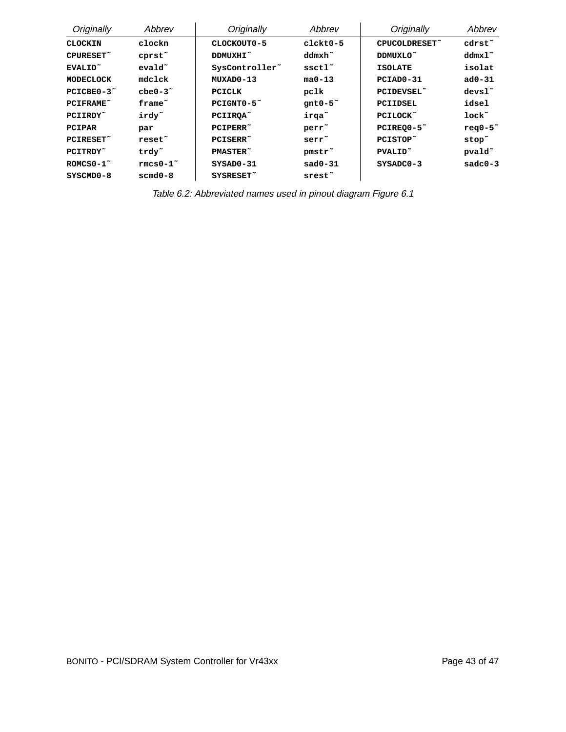| Originally          | Abbrev             | Originally                 | Abbrev               | Originally          | Abbrev              |
|---------------------|--------------------|----------------------------|----------------------|---------------------|---------------------|
| <b>CLOCKIN</b>      | clockn             | CLOCKOUT0-5                | clckt0-5             | CPUCOLDRESET~       | cdrst~              |
| CPURESET~           | cprst <sup>~</sup> | DDMUXHI~                   | ddmxh~               | DDMUXLO~            | $ddmx1$ ~           |
| EVALID <sup>~</sup> | $evald$ ~          | SysController <sup>~</sup> | ssctl <sup>~</sup>   | <b>ISOLATE</b>      | isolat              |
| MODECLOCK           | mdclck             | MUXAD0-13                  | $ma0 - 13$           | PCIAD0-31           | $ad0 - 31$          |
| $PCICBE0-3o$        | $che0-32$          | PCICLK                     | pclk                 | PCIDEVSEL~          | $devs1^$            |
| <b>PCIFRAME</b> ~   | frame~             | $PCIGNT0-5o$               | $qnt0-5$             | PCIIDSEL            | idsel               |
| PCIIRDY~            | irdy~              | PCIIROA <sup>~</sup>       | irga <sup>~</sup>    | PCILOCK~            | $1$ ock $\tilde{ }$ |
| PCIPAR              | par                | PCIPERR~                   | perr <sup>~</sup>    | $PCIREQ0-5$         | $req0-52$           |
| PCIRESET~           | reset <sup>~</sup> | PCISERR~                   | serr~                | PCISTOP~            | stop~               |
| PCITRDY~            | trdy~              | <b>PMASTER</b>             | pmstr <sup>~</sup>   | PVALID <sup>~</sup> | pvald <sup>~</sup>  |
| $ROMCSO-1$ ~        | $rmcs0-1$ ~        | $SYSAD0-31$                | $sad0-31$            | $SYSADC0-3$         | $sadc0-3$           |
| SYSCMD0-8           | $s$ cmd $0-8$      | SYSRESET~                  | $s$ rest $\tilde{ }$ |                     |                     |

Table 6.2: Abbreviated names used in pinout diagram Figure 6.1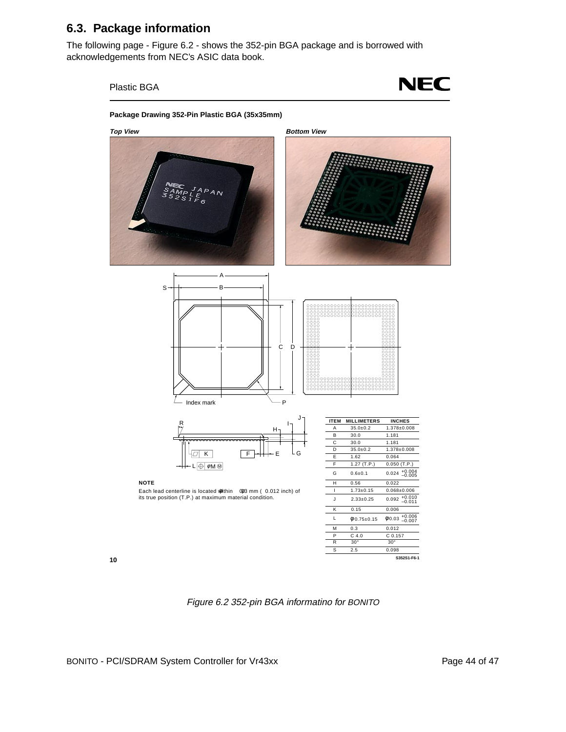### **6.3. Package information**

The following page - Figure 6.2 - shows the 352-pin BGA package and is borrowed with acknowledgements from NEC's ASIC data book.



Figure 6.2 352-pin BGA informatino for BONITO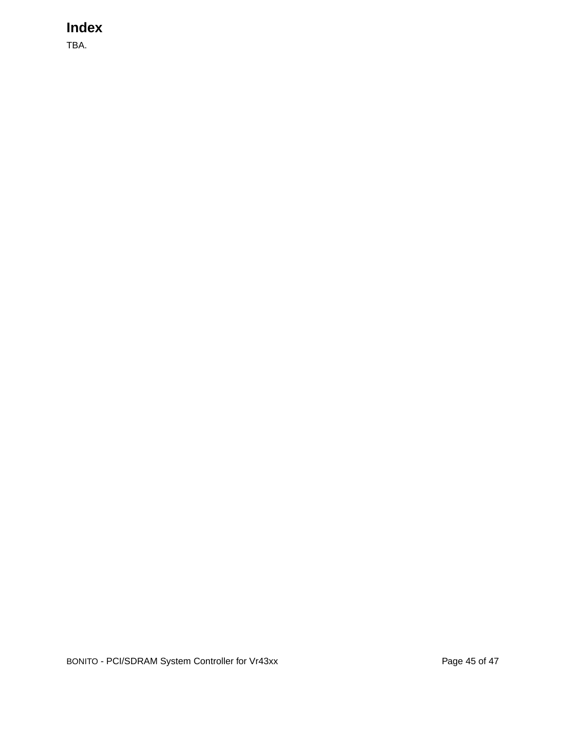# **Index**

TBA.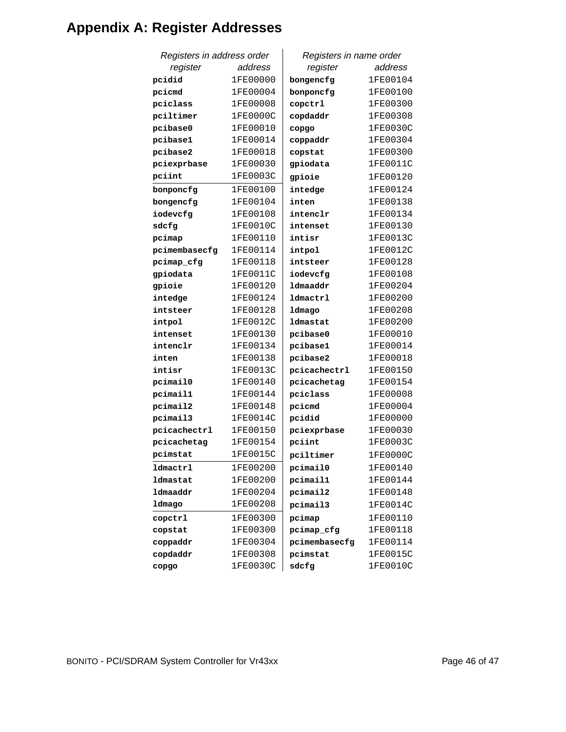# **Appendix A: Register Addresses**

| Registers in address order |          | Registers in name order |          |  |  |
|----------------------------|----------|-------------------------|----------|--|--|
| register                   | address  | register                | address  |  |  |
| pcidid                     | 1FE00000 | bongencfg               | 1FE00104 |  |  |
| pcicmd                     | 1FE00004 | bonponcfg               | 1FE00100 |  |  |
| pciclass                   | 1FE00008 | copctrl                 | 1FE00300 |  |  |
| pciltimer                  | 1FE0000C | copdaddr                | 1FE00308 |  |  |
| pcibase0                   | 1FE00010 | copgo                   | 1FE0030C |  |  |
| pcibase1                   | 1FE00014 | coppaddr                | 1FE00304 |  |  |
| pcibase2                   | 1FE00018 | copstat                 | 1FE00300 |  |  |
| pciexprbase                | 1FE00030 | gpiodata                | 1FE0011C |  |  |
| pciint                     | 1FE0003C | gpioie                  | 1FE00120 |  |  |
| bonponcfg                  | 1FE00100 | intedge                 | 1FE00124 |  |  |
| bongencfg                  | 1FE00104 | inten                   | 1FE00138 |  |  |
| iodevcfg                   | 1FE00108 | intenclr                | 1FE00134 |  |  |
| sdcfg                      | 1FE0010C | intenset                | 1FE00130 |  |  |
| pcimap                     | 1FE00110 | intisr                  | 1FE0013C |  |  |
| pcimembasecfg              | 1FE00114 | intpol                  | 1FE0012C |  |  |
| pcimap_cfg                 | 1FE00118 | intsteer                | 1FE00128 |  |  |
| gpiodata                   | 1FE0011C | iodevcfg                | 1FE00108 |  |  |
| gpioie                     | 1FE00120 | ldmaaddr                | 1FE00204 |  |  |
| intedge                    | 1FE00124 | ldmactrl                | 1FE00200 |  |  |
| intsteer                   | 1FE00128 | ldmago                  | 1FE00208 |  |  |
| intpol                     | 1FE0012C | ldmastat                | 1FE00200 |  |  |
| intenset                   | 1FE00130 | pcibase0                | 1FE00010 |  |  |
| intenclr                   | 1FE00134 | pcibase1                | 1FE00014 |  |  |
| inten                      | 1FE00138 | pcibase2                | 1FE00018 |  |  |
| intisr                     | 1FE0013C | pcicachectrl            | 1FE00150 |  |  |
| pcimail0                   | 1FE00140 | pcicachetag             | 1FE00154 |  |  |
| pcimail1                   | 1FE00144 | pciclass                | 1FE00008 |  |  |
| pcimail2                   | 1FE00148 | pcicmd                  | 1FE00004 |  |  |
| pcimail3                   | 1FE0014C | pcidid                  | 1FE00000 |  |  |
| pcicachectrl               | 1FE00150 | pciexprbase             | 1FE00030 |  |  |
| pcicachetag                | 1FE00154 | pciint                  | 1FE0003C |  |  |
| pcimstat                   | 1FE0015C | pciltimer               | 1FE0000C |  |  |
| <b>ldmactrl</b>            | 1FE00200 | pcimail0                | 1FE00140 |  |  |
| ldmastat                   | 1FE00200 | pcimail1                | 1FE00144 |  |  |
| ldmaaddr                   | 1FE00204 | pcimail2                | 1FE00148 |  |  |
| ldmago                     | 1FE00208 | pcimail3                | 1FE0014C |  |  |
| copctrl                    | 1FE00300 | pcimap                  | 1FE00110 |  |  |
| copstat                    | 1FE00300 | pcimap_cfg              | 1FE00118 |  |  |
| coppaddr                   | 1FE00304 | pcimembasecfg           | 1FE00114 |  |  |
| copdaddr                   | 1FE00308 | pcimstat                | 1FE0015C |  |  |
| copgo                      | 1FE0030C | sdcfg                   | 1FE0010C |  |  |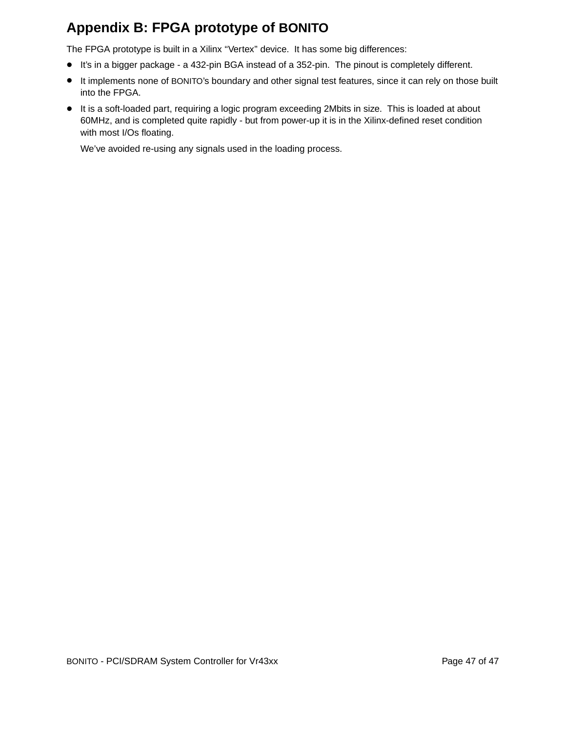## **Appendix B: FPGA prototype of BONITO**

The FPGA prototype is built in a Xilinx "Vertex" device. It has some big differences:

- It's in a bigger package a 432-pin BGA instead of a 352-pin. The pinout is completely different.
- It implements none of BONITO's boundary and other signal test features, since it can rely on those built into the FPGA.
- It is a soft-loaded part, requiring a logic program exceeding 2Mbits in size. This is loaded at about 60MHz, and is completed quite rapidly - but from power-up it is in the Xilinx-defined reset condition with most I/Os floating.

We've avoided re-using any signals used in the loading process.